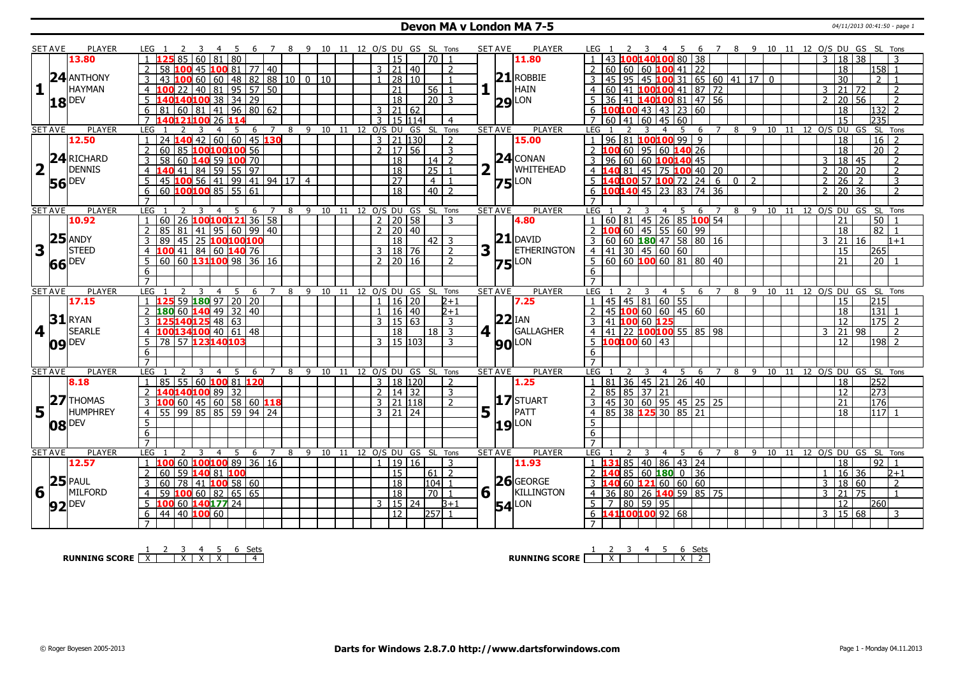### **Devon MA v London MA 7-5** 04/11/2013 00:41:50 - page 1

|                         | <b>SET AVE</b> | <b>PLAYER</b>       | LEG 1                                                 |                                        | 67                  | 8 9 10 11 12 O/S DU GS SL Tons |          |                |                      |                              |                | <b>SET AVE</b> | <b>PLAYER</b>       | 6 7 8 9 10 11 12 O/S DU GS SL Tons<br>- 5                                                                                                  |
|-------------------------|----------------|---------------------|-------------------------------------------------------|----------------------------------------|---------------------|--------------------------------|----------|----------------|----------------------|------------------------------|----------------|----------------|---------------------|--------------------------------------------------------------------------------------------------------------------------------------------|
|                         |                | 13.80               | 60<br>85                                              | 80<br>  81                             |                     |                                |          |                | 15                   | l 70 I                       |                |                | 11.80               | 43 100140100 80 38<br>18 38<br>3                                                                                                           |
|                         |                |                     | $\overline{2}$<br>58<br>45<br>۱M                      | $10081$ 77 40                          |                     |                                |          |                | $3 \mid 21 \mid 40$  |                              | $\overline{2}$ |                |                     | $2   60   60   60$ 100 41 22<br>18<br> 158 1                                                                                               |
|                         |                | $24$ ANTHONY        |                                                       |                                        |                     |                                |          |                |                      |                              |                |                | $21$ ROBBIE         |                                                                                                                                            |
|                         |                |                     | 43<br>60<br>3<br>LOC                                  | $148$ 82<br>$\sqrt{60}$                |                     | 88 10 0 10                     |          | $\mathbf{1}$   | 28 10                |                              | $\overline{1}$ |                |                     | $3   45   95   45$ 100 31 65 60 41 17 0<br>$\overline{30}$<br>$\overline{2}$                                                               |
| $\mathbf{1}$            |                | <b>HAYMAN</b>       | $\overline{4}$<br>22<br>100                           | 40 81 95 57                            | 50                  |                                |          |                | $\overline{21}$      | $56$ 1                       |                |                | HAIN                | 4 60 41 100 100 41 87 72<br>$\overline{21}$<br>3<br>  72<br>$\overline{2}$                                                                 |
|                         |                | $18$ <sup>DEV</sup> | 5                                                     | 140100 38 34 29                        |                     |                                |          |                | $\overline{18}$      | 20 3                         |                |                | $29$ <sup>LON</sup> | 36 41 140100 81 47 56<br>20 56<br>2<br>$\overline{2}$                                                                                      |
|                         |                |                     | 6<br>81<br>60                                         | 81 41 96 80 62                         |                     |                                |          |                | $3 \mid 21 \mid 62$  |                              |                |                |                     | 6 $100100$ 43 43 23 60<br>18<br>$ 132 $ 2                                                                                                  |
|                         |                |                     | $\overline{7}$                                        | 26                                     |                     |                                |          | 3              | 15 114               |                              | $\overline{4}$ |                |                     | $\overline{15}$<br>60 41 60 45 60<br>235                                                                                                   |
|                         | <b>SET AVE</b> | <b>PLAYER</b>       | LEG<br>3                                              | -5<br>$\overline{a}$<br>-6             | $\overline{7}$      | 9 10 11 12 O/S DU<br>8         |          |                |                      | GS SL Tons                   |                | <b>SET AVE</b> | <b>PLAYER</b>       | 8 9 10 11 12 0/S DU GS<br>SL Tons<br>LEG<br>-5<br>6<br>$\overline{7}$                                                                      |
|                         |                | 12.50               | $\overline{24}$<br>40                                 | 42 60 60 45 130                        |                     |                                |          | 3              | 21 130               |                              | $\overline{2}$ |                | 15.00               | 96 81 100 100 99 9<br>16<br>18                                                                                                             |
|                         |                |                     | 60<br>$\overline{2}$<br>85                            | 100100100 56                           |                     |                                |          |                | 2   17   56          |                              | 3              |                |                     | 2 100 60 95 60 140 26<br>18<br>$\overline{20}$   2                                                                                         |
|                         |                | 24 RICHARD          | 3<br>58<br>60                                         | 140 59 100 70                          |                     |                                |          |                | 18                   | $14$ 2                       |                |                | $24$ CONAN          | $3   96   60   60$ 100140 45<br>18 45<br>3<br>2                                                                                            |
| $\overline{\mathbf{2}}$ |                | <b>DENNIS</b>       | 4                                                     |                                        |                     |                                |          |                | $\overline{18}$      | $\overline{25}$              | $\overline{1}$ |                | <b>WHITEHEAD</b>    | $\overline{2}$<br>20 20<br>2                                                                                                               |
|                         |                |                     | 140 41 84 59 55 97<br>45 100 56 41 99 41 94 17 4<br>5 |                                        |                     |                                |          |                | $\overline{27}$      | $-4$                         | $\overline{1}$ |                | $75$ <sup>LON</sup> | 4 140 81 45 75 100 40 20<br>5 140 100 57 100 72 24 6 0 2<br>$\overline{26}$<br>$\sqrt{2}$<br>3<br>$\overline{2}$                           |
|                         |                | <b>56</b> DEV       | 6<br>60                                               | $10010085$ 55 61                       |                     |                                |          |                | $\overline{18}$      | $40\overline{2}$             |                |                |                     | 6 100140 45 23 83 74 36<br>$\overline{36}$<br>$\overline{20}$<br>$\overline{2}$<br>$\overline{2}$                                          |
|                         |                |                     | $\overline{7}$                                        |                                        |                     |                                |          |                |                      |                              |                |                |                     | $\overline{7}$                                                                                                                             |
|                         | <b>SET AVE</b> | <b>PLAYER</b>       | <b>LEG</b>                                            | $\overline{4}$<br>.5<br>6              | 7                   | 8                              |          |                |                      | 9 10 11 12 O/S DU GS SL Tons |                | <b>SET AVE</b> | <b>PLAYER</b>       | LEG<br>9 10 11 12 0/S DU GS<br>SL Tons<br>8<br>-5<br>6<br>$\overline{7}$                                                                   |
|                         |                | 10.92               | 60<br>$\overline{1}$                                  | 26 100100121 36 58                     |                     |                                |          |                | $2 \mid 20 \mid 58$  |                              | 3              |                | 4.80                | 1   60   81   45   26   85   100   54<br>50<br>21                                                                                          |
|                         |                |                     | 85<br>$\overline{81}$<br>$\overline{2}$               | $141$ 95 60 99 40                      |                     |                                |          | $\overline{2}$ | 20 40                |                              |                |                |                     | 2 100 60 45 55 60 99<br>$\overline{82}$<br>18<br>$\overline{1}$                                                                            |
|                         |                | $25$ ANDY           | 45<br>3<br>89                                         | 25 100 100 100                         |                     |                                |          |                | 18                   | $\vert 42 \vert 3$           |                |                | $21$ DAVID          | 3 60 60 180 47 58 80 16<br> 21 <br>l 16<br>3<br>$1 + 1$                                                                                    |
| 3                       |                | <b>STEED</b>        |                                                       | 41 84 60 140 76                        |                     |                                |          |                |                      |                              | 2              | 3              | <b>ETHERINGTON</b>  |                                                                                                                                            |
|                         |                |                     | $\overline{4}$<br>100                                 |                                        |                     |                                |          |                | 3   18   76          |                              |                |                |                     | 4   41   30   45   60   60<br>15<br>265                                                                                                    |
|                         |                | 66 DEV              | $60$ 60 <b>131100</b> 98 36 16<br>5                   |                                        |                     |                                |          |                | $2 \mid 20 \mid 16$  |                              | $\overline{z}$ |                | <b>75</b> LON       | 5 60 60 100 60 81 80 40<br>$\overline{21}$<br>$\overline{20}$                                                                              |
|                         |                |                     | 6                                                     |                                        |                     |                                |          |                |                      |                              |                |                |                     | 6                                                                                                                                          |
|                         |                |                     | $\overline{7}$                                        |                                        |                     |                                |          |                |                      |                              |                |                | <b>PLAYER</b>       |                                                                                                                                            |
|                         |                |                     |                                                       |                                        |                     |                                |          |                |                      |                              |                |                |                     |                                                                                                                                            |
|                         | <b>SET AVE</b> | <b>PLAYER</b>       | LEG<br>3                                              | $\overline{4}$<br>5<br>6               |                     | 8<br>9                         | 10<br>11 | 12 O/S DU      |                      | GS SL Tons                   |                |                | <b>SET AVE</b>      | LEG<br>11 12 O/S DU GS SL Tons<br>$\overline{4}$<br>5<br>6<br>8<br>9<br>10                                                                 |
|                         |                | 17.15               | $\mathbf{1}$                                          | 59 180 97 20 20                        |                     |                                |          | $\mathbf{1}$   | $16 \mid 20$         |                              | 2+1            |                | 7.25                | 45 45 81 60 55<br>215<br>$\overline{1}$<br>15                                                                                              |
|                         |                |                     | $\overline{2}$<br>60<br>180                           | $140$ 49 32 40                         |                     |                                |          | $\mathbf{1}$   | 16 40                |                              | $2 + 1$        |                |                     | 2   45   100   60   60   45   60<br>18<br>131                                                                                              |
|                         |                | $31$ RYAN           | $\mathbf{3}$                                          |                                        |                     |                                |          |                | $3 \mid 15 \mid 63$  |                              | $\overline{3}$ |                | $22$ IAN            | 3 41 100 60 125<br>12<br>175 2                                                                                                             |
| $\vert$ 4               |                | <b>SEARLE</b>       | 125140125 48 63<br>100134100 40 61 48<br>4            |                                        |                     |                                |          |                | 18                   | $18$ 3                       |                | 4 1            | GALLAGHER           | $4   41   22   100   100   55   85   98$<br>$\overline{21}$<br>98<br>$\overline{2}$<br>3                                                   |
|                         |                |                     | 57 123140103<br>5<br>78                               |                                        |                     |                                |          |                | $3 \mid 15 \mid 103$ |                              | 3              |                |                     | $5 \; 100100 \; 60 \; 43$<br>$198$   2<br>12                                                                                               |
|                         |                | $09$ DEV            | $\overline{6}$                                        |                                        |                     |                                |          |                |                      |                              |                |                | <b>90</b> LON       | 6                                                                                                                                          |
|                         |                |                     | $\overline{7}$                                        |                                        |                     |                                |          |                |                      |                              |                |                |                     | $\overline{7}$                                                                                                                             |
|                         | <b>SET AVE</b> | <b>PLAYER</b>       | <b>LEG</b><br>3                                       | -5<br>$\overline{4}$<br>-6             | $\overline{7}$<br>8 | 9                              |          |                |                      | 10 11 12 O/S DU GS SL Tons   |                | <b>SET AVE</b> | <b>PLAYER</b>       | <b>LEG</b><br>10 11 12 0/S DU GS SL Tons<br>5<br>$\overline{7}$<br>89<br>$\mathcal{L}$<br>$\overline{\mathbf{3}}$<br>$\overline{4}$<br>- 6 |
|                         |                | 8.18                | $\mathbf{1}$<br>85                                    | 55   60 <mark>100</mark> 81 <b>120</b> |                     |                                |          |                | 3   18   120         |                              | 2              |                | 1.25                | $1 \overline{)81} \overline{)36} \overline{)45} \overline{)21} \overline{)26} \overline{)40}$<br>252<br>18                                 |
|                         |                |                     | $\overline{2}$<br>140140100 89 32                     |                                        |                     |                                |          |                | $2 \mid 14 \mid 32$  |                              | $\overline{3}$ |                |                     | 273<br>2   85   85   37   21<br>$\overline{12}$                                                                                            |
|                         |                | $27$ THOMAS         | 3<br>.00                                              | $60$ 45 60 58 60 118                   |                     |                                |          |                | $3$   21   118       |                              | $\overline{2}$ |                | 17 STUART           | 3   45   30   60   95   45   25   25<br>21<br>176                                                                                          |
|                         |                | <b>HUMPHREY</b>     | 55<br>$\overline{4}$                                  | $99 \ 85 \ 85 \ 59 \ 94 \ 24$          |                     |                                |          |                | 3   21   24          |                              |                |                | PATT                | $ 85 $ 38 <b>125</b> 30   85   21<br>18<br>117 1<br>$\overline{4}$                                                                         |
| 5                       |                |                     |                                                       |                                        |                     |                                |          |                |                      |                              |                | 5              |                     | $\overline{5}$                                                                                                                             |
|                         |                | $08$ DEV            | $\overline{5}$                                        |                                        |                     |                                |          |                |                      |                              |                |                | $19$ LON            | 6                                                                                                                                          |
|                         |                |                     | 6<br>$\overline{7}$                                   |                                        |                     |                                |          |                |                      |                              |                |                |                     | $\overline{7}$                                                                                                                             |
|                         | <b>SET AVE</b> | PLAYER              | LEG<br>$\mathcal{L}$<br>3                             | - 5<br>$\overline{4}$<br>-6            | 7                   | 8                              |          |                |                      |                              |                | <b>SET AVE</b> | <b>PLAYER</b>       | 11 12 O/S DU GS SL Tons<br>LEG<br>9 10<br>3<br>$\overline{4}$<br>-5<br>6<br>7<br>- 8                                                       |
|                         |                | 12.57               | $\overline{1}$<br>100                                 |                                        |                     |                                |          |                |                      | 9 10 11 12 0/S DU GS SL Tons | 3              |                | 11.93               | $\overline{92}$<br>18                                                                                                                      |
|                         |                |                     | 60 100100 89<br>59<br>$\overline{2}$<br>60            |                                        | 36 16               |                                |          |                | 1   19   16<br>15    | 61   2                       |                |                |                     | 1 <b>131</b> 85 40 86 43 24<br>$\overline{36}$<br>$2 \, 140$<br>$\mathbf 0$<br>16<br>l 36<br>$_{2+1}$<br>$\mathbf{1}$                      |
|                         |                |                     |                                                       | 140 81 100                             |                     |                                |          |                |                      |                              |                |                |                     | 85 60 180<br>$\overline{2}$                                                                                                                |
|                         |                | $25$ PAUL           | 78<br>3<br>60                                         | $141$ 100 58 60                        |                     |                                |          |                | $\overline{18}$      | 104 1                        | $\overline{1}$ |                | 26 GEORGE           | $3\vert 140\vert 60\vert 121\vert 60\vert 60\vert 60$<br>18 60<br>$\overline{3}$                                                           |
| 6                       |                | MILFORD             | 59<br>$\overline{4}$                                  | 100 60 82 65 65                        |                     |                                |          |                | 18                   | $\overline{70}$              |                | $6\sqrt{ }$    | KILLINGTON          | 4 36 80 26 140 59 85 75<br>$\overline{21}$<br>$\overline{75}$<br>3<br>$\overline{1}$                                                       |
|                         |                | $92$ $PEV$          | 60 140 177 24<br>5<br>100                             |                                        |                     |                                |          |                | 3   15   24          |                              | $B+1$          |                | <b>54</b> LON       | $5 \mid 7 \mid 80 \mid 59 \mid 95$<br>$\overline{12}$<br>260                                                                               |
|                         |                |                     | $44$   40   100 60<br>6                               |                                        |                     |                                |          |                | $\overline{12}$      | 257                          |                |                |                     | $6 \overline{\textbf{141}}$ 100100 92 68<br>15 68<br>$\mathsf{3}$<br>3                                                                     |

**RUNNING SCORE**  $\begin{array}{|c|c|c|c|c|}\n\hline\n\textbf{1} & \textbf{2} & \textbf{3} & \textbf{4} & \textbf{5} & \textbf{6} & \textbf{Sets} \\
\hline\n\textbf{5} & \textbf{5} & \textbf{6} & \textbf{7} & \textbf{8} & \textbf{8} & \textbf{9} \\
\hline\n\textbf{6} & \textbf{7} & \textbf{8} & \textbf{9} & \textbf{1} & \textbf{1} & \textbf{1} & \textbf{1} & \textbf{1} \\
\hline\n\textbf{7} & \textbf$ 

**RUNNING SCORE** 1 2 X 3 4 5 6 X Sets 2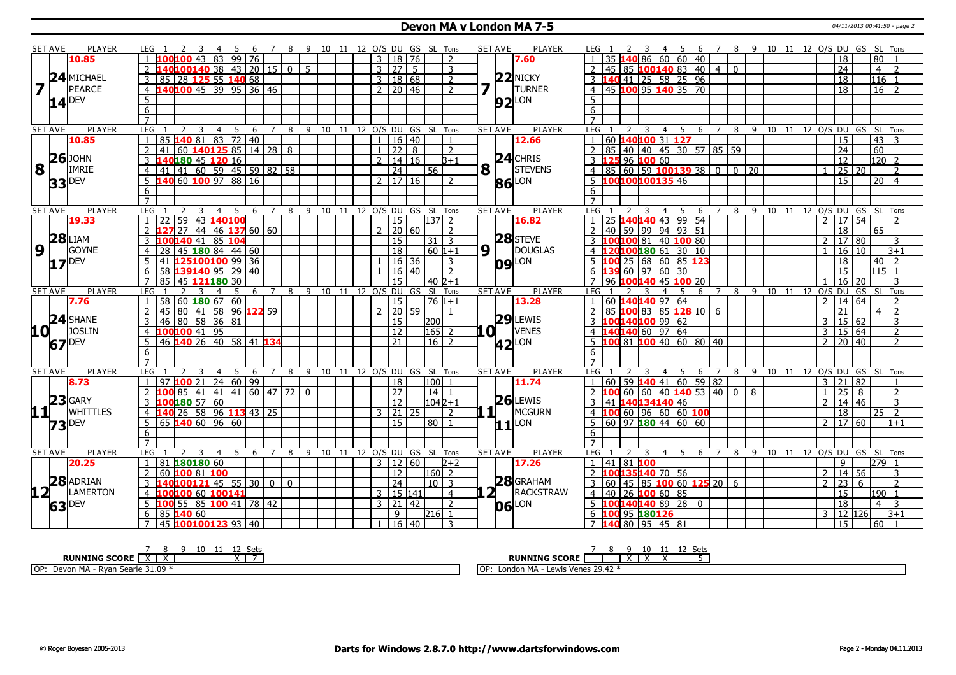### **Devon MA v London MA 7-5** 04/11/2013 00:41:50 - page 2

|                         | <b>SET AVE</b> | <b>PLAYER</b>       | LEG 1<br>- 5                                      |                     | 7 8 9 10 11 12 O/S DU GS SL Tons |                   |                |                     |    |                                    |   | <b>SET AVE</b>      | <b>PLAYER</b>       | 7 8 9 10 11 12 O/S DU GS SL Tons<br>LEG 1<br>5<br>- 6                                                                      |
|-------------------------|----------------|---------------------|---------------------------------------------------|---------------------|----------------------------------|-------------------|----------------|---------------------|----|------------------------------------|---|---------------------|---------------------|----------------------------------------------------------------------------------------------------------------------------|
|                         |                | 10.85               | $\overline{99}$<br>43<br>183.                     | 76                  |                                  |                   |                | $3 \mid 18 \mid 76$ |    | $\overline{2}$                     |   |                     | 7.60                | 35 140 86 60 60 40<br>80<br>18                                                                                             |
|                         |                |                     | LOO <mark>140</mark> 38   43   20   15            |                     | 0 <sup>1</sup><br>-5             |                   |                | 3 27                | -5 | 3                                  |   |                     |                     | 45 85 100 140 83 40 4 0<br>$\overline{24}$<br>$\overline{4}$<br>$\overline{2}$                                             |
|                         |                | 24 MICHAEL          | 125 55 140 68<br>85<br>28<br>3                    |                     |                                  |                   | 3 <sup>1</sup> | 18 68               |    | $\overline{2}$                     |   |                     | $22$ NICKY          | $3 \mid 140 \mid 41 \mid 25 \mid 58 \mid 25 \mid 96$<br>18<br>116                                                          |
| $\overline{\mathbf{z}}$ |                | PEARCE              | <b>40100</b> 45 39 95 36 46<br>$\overline{4}$     |                     |                                  |                   |                | 2   20   46         |    | $\overline{2}$                     | 7 |                     | <b>TURNER</b>       | 4 45 100 95 140 35 70<br>$16$ 2<br>18                                                                                      |
|                         |                |                     |                                                   |                     |                                  |                   |                |                     |    |                                    |   |                     |                     | 5 <sup>1</sup>                                                                                                             |
|                         |                | $14$ <sup>DEV</sup> | 5                                                 |                     |                                  |                   |                |                     |    |                                    |   |                     | $92$ LON            |                                                                                                                            |
|                         |                |                     | $6\overline{}$                                    |                     |                                  |                   |                |                     |    |                                    |   |                     |                     | 6                                                                                                                          |
|                         |                |                     | $\overline{7}$                                    |                     |                                  |                   |                |                     |    |                                    |   |                     |                     | $\overline{7}$                                                                                                             |
|                         | SET AVE        | PLAYER              | LEG<br>- 5<br>2<br>3<br>4<br>$\mathbf{1}$         | -6<br>7             | 9<br>8                           | 10 11 12 O/S DU   | $\mathbf{1}$   |                     |    | GS SL Tons                         |   | <b>SET AVE</b>      | <b>PLAYER</b>       | LEG<br>8 9 10 11 12 0/S DU GS SL Tons<br>5<br>$\overline{7}$<br>2<br>3<br>$\overline{4}$<br>6                              |
|                         |                | 10.85               | 72 40<br>$\overline{83}$<br>85<br>81              |                     |                                  |                   |                | 16 40               |    | $\overline{1}$                     |   |                     | 12.66               | 60 140100 31 127<br>43<br>15<br>$\overline{1}$<br>-3                                                                       |
|                         |                | $26$ JOHN           | 1401258851428<br>$\overline{2}$<br>41<br>60       |                     | 8                                |                   |                | $1 \mid 22 \mid$    | 8  | $\overline{2}$                     |   |                     | $24$ CHRIS          | 85 40 40 45 30 57 85 59<br>$\overline{24}$<br>60<br>$\overline{2}$                                                         |
|                         |                |                     | $\overline{3}$<br>0 <b>180 45 120</b> 16          |                     |                                  |                   | $\overline{2}$ | 14 16               |    | B+1                                |   |                     |                     | 3 125 96 100 60<br>$\overline{12}$<br>$120$   2                                                                            |
| 8                       | $\mathbf{L}$   | <b>IMRIE</b>        | 41 60 59 45 59 82 58<br>$\overline{4}$<br>41      |                     |                                  |                   |                | 24                  |    | 56                                 | 8 |                     | <b>STEVENS</b>      | 25 20<br>$4   85   60   59   100   139   38   0   0   20$<br>$\overline{2}$                                                |
|                         | 33             | <b>DEV</b>          | 60 100 97 88 16<br>5<br>40                        |                     |                                  |                   |                | $2 \mid 17 \mid 16$ |    | $\overline{2}$                     |   |                     | <b>86</b> LON       | 5 100100100135 46<br>$\overline{15}$<br>$20$   4                                                                           |
|                         |                |                     | 6                                                 |                     |                                  |                   |                |                     |    |                                    |   |                     |                     | 6                                                                                                                          |
|                         |                |                     | $\overline{7}$                                    |                     |                                  |                   |                |                     |    |                                    |   |                     |                     |                                                                                                                            |
|                         | <b>SET AVE</b> | <b>PLAYER</b>       | LEG<br>5<br>3<br>$\overline{4}$                   | $\overline{z}$<br>6 | 8                                |                   |                |                     |    | 9 10 11 12 0/S DU GS SL Tons       |   | <b>SET AVE</b>      | <b>PLAYER</b>       | 8 9 10 11 12 0/S DU GS SL Tons<br>LEG<br>$\overline{4}$<br>5<br>6                                                          |
|                         |                | 19.33               | $\overline{59}$<br>43 140 100<br>22               |                     |                                  |                   |                | $\overline{15}$     |    | $137$ 2                            |   |                     | 16.82               | 25 140140 43 99 54<br>17 54<br>$\overline{2}$<br>$\overline{1}$                                                            |
|                         |                |                     | $146$ 137 60 60<br>44<br>27                       |                     |                                  |                   |                | $2 \ 20 \ 60$       |    | 2                                  |   |                     |                     | $\boxed{59}$ 99 94 93 51<br>$2 \mid 40$<br>18<br>65                                                                        |
|                         | 28             | <b>LIAM</b>         | 85 104<br>3<br>41                                 |                     |                                  |                   |                | 15                  |    | $31 \mid 3$                        |   |                     | $28$ STEVE          | 3 100100 81 40 100 80<br>$\overline{2}$<br>17 80<br>3                                                                      |
| $\overline{9}$          |                | <b>GOYNE</b>        | 1808414460<br>28<br>45<br>$\overline{4}$          |                     |                                  |                   |                | 18                  |    | 60 l1+1                            |   | $9\sqrt{1}$         | DOUGLAS             | 4 120100180 61 30 10<br>16<br>l 10<br>$B+1$<br>$\overline{1}$                                                              |
|                         |                | $17$ DEV            | 5<br>41<br>125100100 99 36                        |                     |                                  |                   |                | 16   36             |    | 3                                  |   | <b>09</b> LON       |                     | $5 \vert 100 \vert 25 \vert 68 \vert 60 \vert 85 \vert 123$<br>18<br>40<br>$\overline{z}$                                  |
|                         |                |                     | 139140 95 29 40<br>58<br>6                        |                     |                                  |                   |                | 16 40               |    | $\overline{2}$                     |   |                     |                     | $6 \overline{139} \overline{60} \overline{97} \overline{60} \overline{30}$<br>15<br>115 I1                                 |
|                         |                |                     | 45 121 180 30<br>$\overline{7}$<br>85             |                     |                                  |                   |                | 15                  |    | 40 b+1                             |   |                     |                     | 7 96 100140 45 100 20<br>16<br>20<br>3                                                                                     |
|                         | <b>SET AVE</b> | <b>PLAYER</b>       | LEG<br>5<br>3<br>$\blacksquare$<br>$\overline{4}$ | 6 7                 | - 8                              |                   |                |                     |    | 9 10 11 12 O/S DU GS SL Tons       |   | <b>SET AVE</b>      | <b>PLAYER</b>       | LEG<br>8<br>9 10 11 12 O/S DU GS SL Tons<br>6 7<br>4                                                                       |
|                         |                | 7.76                | 58   60   180   67   60<br>$\overline{1}$         |                     |                                  |                   |                | 15                  |    | $76 1+1$                           |   |                     | 13.28               | 1   60   140   140   97   64<br>14 64<br>$\overline{2}$<br>$\overline{2}$                                                  |
|                         |                |                     | 80 41 58 96 122 59<br>$\overline{2}$<br>45        |                     |                                  |                   |                | $20$ 59             |    | $\overline{1}$                     |   |                     |                     | 85 100 83 85 128 10 6<br>21<br>$\overline{2}$<br>$\overline{2}$<br>$\overline{4}$                                          |
|                         |                | 24 SHANE            | 46 80 58 36 81                                    |                     |                                  |                   |                | 15                  |    | 200                                |   |                     | $29$ LEWIS          | $100140100$ 99 62<br>15 62<br>3<br>3                                                                                       |
| <b>10</b>               |                | <b>JOSLIN</b>       | 100100 41 95<br>4                                 |                     |                                  |                   |                | $\overline{12}$     |    | 165 <br>$\overline{z}$             |   | .a i                | <b>VENES</b>        | $4 \overline{\textbf{140140}} \overline{60} \overline{\textbf{97}} \overline{\textbf{64}}$<br>15 64<br>$\overline{2}$<br>3 |
|                         |                | 67 DEV              | 46 140 26 40 58 41 134<br>$5\overline{)}$         |                     |                                  |                   |                | $\overline{21}$     |    | 16<br>2                            |   |                     | $42$ <sup>LON</sup> | 5 100 81 100 40 60 80 40<br> 20 40<br>$\overline{2}$<br>2                                                                  |
|                         |                |                     | $6\overline{6}$                                   |                     |                                  |                   |                |                     |    |                                    |   |                     |                     | 6                                                                                                                          |
|                         |                |                     | $\overline{7}$                                    |                     |                                  |                   |                |                     |    |                                    |   |                     |                     | $\overline{7}$                                                                                                             |
|                         | <b>SET AVE</b> | <b>PLAYER</b>       | LEG<br>$\overline{4}$<br>-5                       | 6                   | 9<br>8                           | 10<br>- 11        | 12 O/S DU      |                     |    | GS SL Tons                         |   | <b>SET AVE</b>      | <b>PLAYER</b>       | <b>LEG</b><br>12 O/S DU GS SL Tons<br>8<br>9<br>10<br>4<br>-11<br>6                                                        |
|                         |                | 8.73                | 24   60   99<br>$100$ $21$<br>97<br>$\mathbf{1}$  |                     |                                  |                   |                | 18                  |    | 100 <br>$\mathbf{1}$               |   |                     | 11.74               | 1   60   59   140   41   60   59   82<br>82<br>3<br>21<br>$\mathbf{1}$                                                     |
|                         |                |                     | $\mathcal{P}$<br>85<br>  41<br>41                 | 41 60 47            | 72<br>$\mathbf{0}$               |                   |                | 27                  |    | 14<br>$\overline{1}$               |   |                     |                     | 2 <b>100</b> 60 60 40 <b>140</b> 53 40 0<br>8<br>25<br>2<br>8<br>$\overline{1}$                                            |
|                         |                | $23$ GARY           | LOO <mark>180</mark> 57 60<br>3                   |                     |                                  |                   |                | $\overline{12}$     |    | $1042 + 1$                         |   |                     | $26$ LEWIS          | 3 41 140134140 46<br>14<br>46<br>3<br>2                                                                                    |
|                         | 11             | <b>WHITTLES</b>     | 26 58 96 113 43 25<br>$\overline{4}$<br>140       |                     |                                  |                   |                | $3 \mid 21 \mid 25$ |    | $\overline{2}$                     |   | $\mathbf{1}$        | MCGURN              | 4 100 60 96 60 60 100<br>18<br>$\overline{2}$<br>25                                                                        |
|                         | 73             | <b>DEV</b>          | 60 96 60<br>5<br>140<br>65                        |                     |                                  |                   |                | $\overline{15}$     |    | $80$   1                           |   | $11$ <sup>LON</sup> |                     | 5<br>$\overline{2}$<br>$\sqrt{17}$   60<br>$1 + 1$                                                                         |
|                         |                |                     | 6                                                 |                     |                                  |                   |                |                     |    |                                    |   |                     |                     | 6                                                                                                                          |
|                         |                |                     | $\overline{7}$                                    |                     |                                  |                   |                |                     |    |                                    |   |                     |                     |                                                                                                                            |
|                         | <b>SET AVE</b> | <b>PLAYER</b>       | LEG<br>3<br>5<br>$\mathcal{P}$<br>$\overline{4}$  | 6<br>$\overline{7}$ | 8                                | 9 10 11 12 O/S DU |                |                     | GS | SL Tons                            |   | <b>SET AVE</b>      | <b>PLAYER</b>       | 12 O/S DU GS SL Tons<br>LEG<br>8<br>9<br>10 11<br>3<br>-5<br>6<br>$\overline{7}$<br>4                                      |
|                         |                | 20.25               | 180180 60<br>81                                   |                     |                                  |                   | 3              | 12 60               |    | $2+2$                              |   |                     | 17.26               | 41   81   <mark>100</mark><br>279<br>$\overline{1}$<br>9                                                                   |
|                         |                |                     | 100 81 100<br>$\overline{2}$<br>60                |                     |                                  |                   |                | $\overline{12}$     |    | $\overline{2}$<br>160 <sup>1</sup> |   |                     |                     | LOO 135 140 70 56<br>14 56<br>$\overline{2}$<br>3                                                                          |
|                         |                | 28 ADRIAN           | 10012145 55 30<br>$\overline{3}$                  | $\overline{0}$      | $\mathbf{0}$                     |                   |                | $\overline{24}$     |    | 10   3                             |   |                     | $28$ GRAHAM         | 3 60 45 85 100 60 125 20 6<br>23<br>$\overline{2}$<br>6<br>$\mathcal{P}$                                                   |
| 12+                     |                | LAMERTON            | 60<br>100<br>100141<br>4                          |                     |                                  |                   |                | 3   15   141        |    | $\overline{4}$                     |   |                     | RACKSTRAW           | 4   40   26   100   60   85<br>15<br> 190 1                                                                                |
|                         |                | <b>DEV</b>          | 55 85 100 41 78 42<br>5<br>100                    |                     |                                  |                   |                | $3 \mid 21 \mid 42$ |    | 2                                  |   |                     | LON                 | 5 100140140 89 28 0<br>$\overline{18}$<br>$\overline{4}$<br>3                                                              |
|                         | 63             |                     | $6\overline{6}$<br>60<br>85<br>140                |                     |                                  |                   |                | 9                   |    | 216 1                              |   | 06                  |                     | 6 100 95 180 126<br>12 126<br>3<br>$B+1$                                                                                   |
|                         |                |                     | 45 100100123 93 40<br>$\overline{7}$              |                     |                                  |                   |                | 1   16   40         |    | 3                                  |   |                     |                     | 7 140 80 95 45 81<br>15<br>60 1                                                                                            |
|                         |                |                     |                                                   |                     |                                  |                   |                |                     |    |                                    |   |                     |                     |                                                                                                                            |

| ⊂ot<br>τv<br>ししし<br>.                                                                              | Cot.<br>--                                                        |
|----------------------------------------------------------------------------------------------------|-------------------------------------------------------------------|
| <b>RUNNING SCORE</b>                                                                               | <b>RUNNING</b><br><b>SCORE</b><br>$\cdot$<br>$\lambda$<br>$\cdot$ |
| <b>OP</b><br>31.09<br><b>A</b><br>n<br>o Coo<br>$\cdots$<br>- Ryan Searle<br>Devon<br>$\mathbf{m}$ | Lewis Venes 29.42<br>MA<br>LOP:<br>London                         |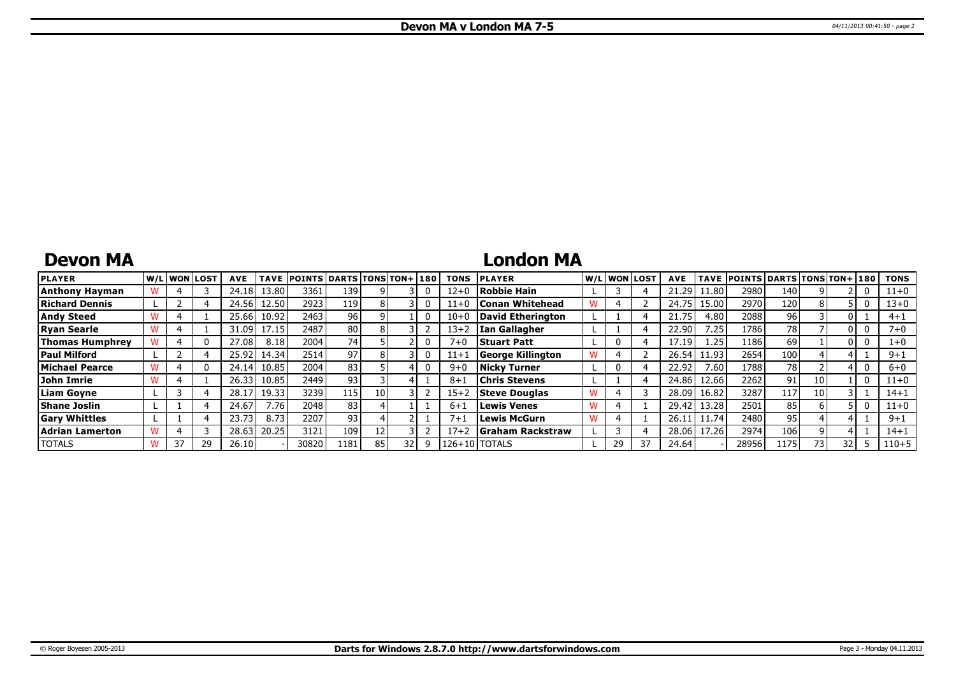## **Devon MA**

### **London MA**

| <b>PLAYER</b>          | W/Liwonilost! |    | <b>AVE</b> | <b>TAVE</b> | <b>POINTS DARTS TONS TON+180</b> |      |    |    |   | <b>TONS</b> | <b>PLAYER</b>            |    | W/Liwonilost/ | <b>AVE</b> |       | TAVE POINTS DARTS TONS TON+ 180 |                  |    |     | <b>TONS</b> |
|------------------------|---------------|----|------------|-------------|----------------------------------|------|----|----|---|-------------|--------------------------|----|---------------|------------|-------|---------------------------------|------------------|----|-----|-------------|
| <b>Anthony Hayman</b>  |               |    | 24.18 l    | 13.80       | 3361                             | 139  |    |    |   | $12 + 0$    | Robbie Hain              |    |               | 21.29      | 11.80 | 2980                            | 140              |    |     | $11 + 0$    |
| Richard Dennis         |               |    | 24.56 L    | 12.50       | 2923                             | 119  |    |    |   | 11+0        | Conan Whitehead          |    |               | 24.75      | 15.00 | 2970                            | 120 <sub>1</sub> |    |     | $13 + 0$    |
| <b>Andy Steed</b>      |               |    | 25.66      | 10.92       | 2463                             | 96   |    |    |   | $10 + 0$    | David Etherington        |    |               | 21.75      | 4.80  | 2088                            | 96 <sub>1</sub>  |    |     | $4 + 1$     |
| <b>Ryan Searle</b>     |               |    | 31.09 l    | 17.15       | 2487                             | 80   |    |    |   | $13 + 2$    | lIan Gallagher           |    |               | 22.90      | 7.25  | 1786                            | 78               |    |     | 7+0         |
| <b>Thomas Humphrey</b> |               |    | 27.08      | 8.18        | 2004                             | 741  |    |    |   | $7 + 0$     | <b>Stuart Patt</b>       |    |               | 17.19      | 1.25  | 1186                            | 69               |    |     | $1+0$       |
| <b>Paul Milford</b>    |               |    | 25.92      | 14.34       | 2514                             | 97   |    |    |   | $11 + 1$    | <b>George Killington</b> |    |               | 26.54      | 11.93 | 2654                            | 100              |    |     | $9+1$       |
| Michael Pearce         |               |    | 24.14      | 10.85       | 2004                             | 83   |    |    |   | $9 + 0$     | Nickv Turner             |    |               | 22.92      | 7.60  | 1788                            | 78               |    |     | $6 + 0$     |
| John Imrie             |               |    | 26.33      | 10.85       | 2449                             | 93   |    |    |   | $8 + 1$     | Chris Stevens            |    |               | 24.86      | 12.66 | 2262                            | 91               | 10 |     | $11+0$      |
| Liam Goyne             |               |    | 28.17      | 19.33       | 3239                             | 115  | 10 |    |   | $15 + 2$    | <b>Steve Douglas</b>     |    |               | 28.09      | 16.82 | 3287                            | 117              | 10 |     | $14 + 1$    |
| <b>Shane Joslin</b>    |               |    | 24.67      | '.76        | 20481                            | 83   |    |    |   | $6 + 1$     | <b>Lewis Venes</b>       |    |               | 29.42      | 13.28 | 2501                            | 85               | h  |     | $11+0$      |
| <b>Gary Whittles</b>   |               |    | 23.73      | 8.73        | 2207                             | 93   |    |    |   | $7 + 1$     | <b>Lewis McGurn</b>      |    |               | 26.1       | 11.74 | 2480                            | 95               |    |     | $9 + 1$     |
| Adrian Lamerton        |               |    | 28.63      | 20.25       | 3121                             | 109  |    |    |   | $17 + 2$    | Graham Rackstraw         |    |               | 28.06      | 17.26 | 2974                            | 106              |    |     | $14 + 1$    |
| <b>TOTALS</b>          | 37            | 29 | 26.10      |             | 30820                            | 1181 | 85 | 32 | q |             | 126+10   TOTALS          | 29 | 37            | 24.64      |       | 28956                           | 1175             | 73 | 32. | $110 + 5$   |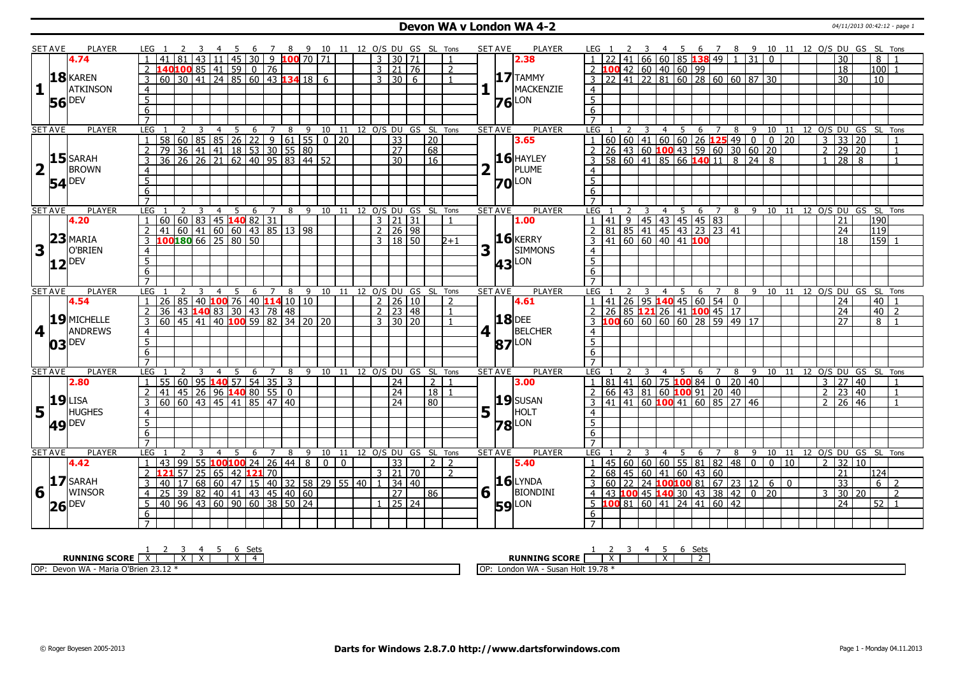### **Devon WA v London WA 4-2** 04/11/2013 00:42:12 - page 1

|                         | <b>SET AVE</b> | <b>PLAYER</b>       | LEG 1               |                                                                                                                                 |                      |                 | -4                            | - 5 | -6              |          |   |                |                              |              |                               |                                   |       |   | 7 8 9 10 11 12 0/S DU GS SL Tons                                                                                                                          |   | <b>SET AVE</b> | PLAYER            | LEG            |    |   |                                                                          | 4 5            |             |   |                |                                                   |                     |                                                                                                                                                     |       |  | 6 7 8 9 10 11 12 0/S DU GS SL Tons |                   |                                         |                  |                |
|-------------------------|----------------|---------------------|---------------------|---------------------------------------------------------------------------------------------------------------------------------|----------------------|-----------------|-------------------------------|-----|-----------------|----------|---|----------------|------------------------------|--------------|-------------------------------|-----------------------------------|-------|---|-----------------------------------------------------------------------------------------------------------------------------------------------------------|---|----------------|-------------------|----------------|----|---|--------------------------------------------------------------------------|----------------|-------------|---|----------------|---------------------------------------------------|---------------------|-----------------------------------------------------------------------------------------------------------------------------------------------------|-------|--|------------------------------------|-------------------|-----------------------------------------|------------------|----------------|
|                         |                | 4.74                |                     | 41                                                                                                                              | 81                   | 43              |                               |     |                 |          |   |                | $11   45   30   9$ 100 70 71 |              |                               | $\overline{3}$                    | 30 71 |   | $\overline{1}$                                                                                                                                            |   |                | 2.38              |                |    |   | $41   66   60   85$ 138 49                                               |                |             |   |                |                                                   | $1 \overline{31}$ 0 |                                                                                                                                                     |       |  |                                    | 30                |                                         | 8                |                |
|                         |                |                     | 2                   |                                                                                                                                 |                      |                 |                               |     |                 |          |   |                |                              |              |                               | $3 \mid 21 \mid 76$               |       |   | $\overline{2}$                                                                                                                                            |   |                |                   |                |    |   | $2$ 100 42 60 40 60 99                                                   |                |             |   |                |                                                   |                     |                                                                                                                                                     |       |  |                                    | $\overline{18}$   |                                         | 100              |                |
|                         |                | 18 KAREN            | $\overline{3}$      | <b>140100</b> 85 41 59 0 76                                                                                                     |                      |                 |                               |     |                 |          |   |                |                              |              |                               | $\overline{3}$<br>$\overline{30}$ |       | 6 | $\mathbf{1}$                                                                                                                                              |   |                | $17$ TAMMY        |                |    |   |                                                                          |                |             |   |                |                                                   |                     | $3 \overline{)22 \overline{)41 \overline{)22 \overline{81}} \overline{60} \overline{)28 \overline{60} \overline{)60 \overline{87}} \overline{30}}$  |       |  |                                    | 30                |                                         | 10               |                |
| 1                       |                | <b>ATKINSON</b>     | $\overline{4}$      |                                                                                                                                 |                      |                 |                               |     |                 |          |   |                |                              |              |                               |                                   |       |   |                                                                                                                                                           |   |                | MACKENZIE         | $\overline{4}$ |    |   |                                                                          |                |             |   |                |                                                   |                     |                                                                                                                                                     |       |  |                                    |                   |                                         |                  |                |
|                         |                |                     | $\overline{5}$      |                                                                                                                                 |                      |                 |                               |     |                 |          |   |                |                              |              |                               |                                   |       |   |                                                                                                                                                           |   |                | LON               | $\overline{5}$ |    |   |                                                                          |                |             |   |                |                                                   |                     |                                                                                                                                                     |       |  |                                    |                   |                                         |                  |                |
|                         |                | <b>56</b> DEV       | 6                   |                                                                                                                                 |                      |                 |                               |     |                 |          |   |                |                              |              |                               |                                   |       |   |                                                                                                                                                           |   | 76             |                   | 6              |    |   |                                                                          |                |             |   |                |                                                   |                     |                                                                                                                                                     |       |  |                                    |                   |                                         |                  |                |
|                         |                |                     | $\overline{7}$      |                                                                                                                                 |                      |                 |                               |     |                 |          |   |                |                              |              |                               |                                   |       |   |                                                                                                                                                           |   |                |                   | $\overline{7}$ |    |   |                                                                          |                |             |   |                |                                                   |                     |                                                                                                                                                     |       |  |                                    |                   |                                         |                  |                |
|                         | <b>SET AVE</b> | <b>PLAYER</b>       | LEG                 |                                                                                                                                 |                      |                 |                               |     | $\underline{6}$ |          |   |                |                              |              |                               |                                   |       |   |                                                                                                                                                           |   | <b>SET AVE</b> | <b>PLAYER</b>     |                |    |   |                                                                          |                |             |   |                |                                                   |                     |                                                                                                                                                     |       |  |                                    |                   |                                         |                  |                |
|                         |                |                     | $\mathbf{1}$        |                                                                                                                                 |                      |                 |                               |     |                 |          |   |                |                              |              |                               |                                   |       |   | 1 2 3 4 5 6 7 8 9 10 11 12 0/5 DU GS SL Tons<br>58 60 85 85 26 22 9 61 55 0 20 33 20<br>79 36 41 41 18 53 30 55 80<br>36 26 26 21 62 40 95 83 44 52 30 16 |   |                | 3.65              |                |    |   |                                                                          |                |             |   |                |                                                   |                     | <u>LEG 1 2 3 4 5 6 7 8 9 10 11<br/> 1 60 60 41 60 60 26 125 49 0 0 20<br/> 2 26 43 60 100 43 59 60 30 60 20<br/> 3 58 60 41 85 66 140 11 8 24 8</u> |       |  | $\overline{\mathbf{3}}$            |                   | 8 9 10 11 12 0/S DU GS SL Tons<br>33 20 |                  | $\overline{1}$ |
|                         |                |                     | $\overline{2}$      |                                                                                                                                 |                      |                 |                               |     |                 |          |   |                |                              |              |                               |                                   |       |   |                                                                                                                                                           |   |                |                   |                |    |   |                                                                          |                |             |   |                |                                                   |                     |                                                                                                                                                     |       |  | $\overline{2}$                     | $\frac{1}{29}$ 20 |                                         |                  | $\overline{1}$ |
|                         |                | $15$ SARAH          | $\overline{3}$      |                                                                                                                                 |                      |                 |                               |     |                 |          |   |                |                              |              |                               |                                   |       |   |                                                                                                                                                           |   |                | $16$ HAYLEY       |                |    |   |                                                                          |                |             |   |                |                                                   |                     |                                                                                                                                                     |       |  | $\mathbf{1}$                       | $\frac{1}{28}$    | $\overline{8}$                          |                  |                |
| $\overline{\mathbf{2}}$ | $\mathbf{I}$   | <b>BROWN</b>        |                     |                                                                                                                                 |                      |                 |                               |     |                 |          |   |                |                              |              |                               |                                   |       |   |                                                                                                                                                           | 2 |                | PLUME             |                |    |   |                                                                          |                |             |   |                |                                                   |                     |                                                                                                                                                     |       |  |                                    |                   |                                         |                  |                |
|                         |                |                     | $\overline{4}$      |                                                                                                                                 |                      |                 |                               |     |                 |          |   |                |                              |              |                               |                                   |       |   |                                                                                                                                                           |   |                |                   | $\overline{4}$ |    |   |                                                                          |                |             |   |                |                                                   |                     |                                                                                                                                                     |       |  |                                    |                   |                                         |                  |                |
|                         |                | $54$ <sup>DEV</sup> | $\overline{5}$      |                                                                                                                                 |                      |                 |                               |     |                 |          |   |                |                              |              |                               |                                   |       |   |                                                                                                                                                           |   |                | <b>70</b> LON     | $\overline{5}$ |    |   |                                                                          |                |             |   |                |                                                   |                     |                                                                                                                                                     |       |  |                                    |                   |                                         |                  |                |
|                         |                |                     | 6                   |                                                                                                                                 |                      |                 |                               |     |                 |          |   |                |                              |              |                               |                                   |       |   |                                                                                                                                                           |   |                |                   | 6              |    |   |                                                                          |                |             |   |                |                                                   |                     |                                                                                                                                                     |       |  |                                    |                   |                                         |                  |                |
|                         |                |                     | $\overline{7}$      |                                                                                                                                 |                      |                 |                               |     |                 |          |   |                |                              |              |                               |                                   |       |   |                                                                                                                                                           |   |                |                   | $\overline{7}$ |    |   |                                                                          |                |             |   |                |                                                   |                     |                                                                                                                                                     |       |  |                                    |                   |                                         |                  |                |
|                         | <b>SET AVE</b> | <b>PLAYER</b>       | <b>LEG</b>          |                                                                                                                                 |                      | 3               | $\overline{4}$                | 5   | $6\overline{6}$ | 7        | 8 | 9              | 10                           | 11           |                               |                                   |       |   | 12 O/S DU GS SL Tons                                                                                                                                      |   | <b>SET AVE</b> | <b>PLAYER</b>     | LEG            |    |   |                                                                          | $\overline{4}$ | 5           | 6 | $\overline{7}$ |                                                   |                     |                                                                                                                                                     |       |  |                                    |                   | 8 9 10 11 12 O/S DU GS SL Tons          |                  |                |
|                         |                | 4.20                |                     | 60   60   83   45   140   82   31                                                                                               |                      |                 |                               |     |                 |          |   |                |                              |              |                               | $3 \mid 21 \mid 31$               |       |   |                                                                                                                                                           |   |                | 1.00              | $\overline{1}$ | 41 | 9 | 45 43 45 45 83                                                           |                |             |   |                |                                                   |                     |                                                                                                                                                     |       |  |                                    | 21                |                                         | 190              |                |
|                         | 23             |                     | $\overline{2}$      |                                                                                                                                 |                      |                 |                               |     |                 |          |   |                |                              |              |                               | $2 \mid 26 \mid 98$               |       |   |                                                                                                                                                           |   |                | $16$ <b>KERRY</b> |                |    |   |                                                                          |                |             |   |                |                                                   |                     |                                                                                                                                                     |       |  |                                    | 24                |                                         | $\overline{119}$ |                |
|                         |                | MARIA               | $\overline{3}$      |                                                                                                                                 |                      |                 |                               |     |                 |          |   |                |                              |              |                               | 3   18   50                       |       |   | $2+1$                                                                                                                                                     |   |                |                   |                |    |   |                                                                          |                |             |   |                |                                                   |                     |                                                                                                                                                     |       |  |                                    | $\overline{18}$   |                                         | $\sqrt{159}$ 1   |                |
| 3                       | $\mathbf{I}$   | O'BRIEN             | $\overline{4}$      |                                                                                                                                 |                      |                 |                               |     |                 |          |   |                |                              |              |                               |                                   |       |   |                                                                                                                                                           | 3 |                | <b>SIMMONS</b>    | $\overline{4}$ |    |   |                                                                          |                |             |   |                |                                                   |                     |                                                                                                                                                     |       |  |                                    |                   |                                         |                  |                |
|                         | 12             | <b>DEV</b>          | $\overline{5}$      |                                                                                                                                 |                      |                 |                               |     |                 |          |   |                |                              |              |                               |                                   |       |   |                                                                                                                                                           |   |                | <b>43</b> LON     | 5 <sup>7</sup> |    |   |                                                                          |                |             |   |                |                                                   |                     |                                                                                                                                                     |       |  |                                    |                   |                                         |                  |                |
|                         |                |                     | 6                   |                                                                                                                                 |                      |                 |                               |     |                 |          |   |                |                              |              |                               |                                   |       |   |                                                                                                                                                           |   |                |                   | $\overline{6}$ |    |   |                                                                          |                |             |   |                |                                                   |                     |                                                                                                                                                     |       |  |                                    |                   |                                         |                  |                |
|                         |                |                     | $\overline{7}$      |                                                                                                                                 |                      |                 |                               |     |                 |          |   |                |                              |              |                               |                                   |       |   |                                                                                                                                                           |   |                |                   | $\overline{7}$ |    |   |                                                                          |                |             |   |                |                                                   |                     |                                                                                                                                                     |       |  |                                    |                   |                                         |                  |                |
|                         | <b>SET AVE</b> | <b>PLAYER</b>       | <b>LEG</b>          |                                                                                                                                 |                      | 3               | $\overline{4}$                | 5   | 6               |          |   |                |                              |              |                               |                                   |       |   | 7 8 9 10 11 12 O/S DU GS SL Tons                                                                                                                          |   | <b>SET AVE</b> | <b>PLAYER</b>     | LEG            |    |   |                                                                          | $\overline{4}$ | $5^{\circ}$ |   |                |                                                   |                     |                                                                                                                                                     |       |  |                                    |                   | 6 7 8 9 10 11 12 0/S DU GS SL Tons      |                  |                |
|                         |                | 4.54                |                     |                                                                                                                                 |                      |                 |                               |     |                 |          |   |                |                              |              |                               | $2 \mid 26 \mid 10$               |       |   | $\overline{2}$                                                                                                                                            |   |                | 4.61              |                |    |   |                                                                          |                |             |   |                | 1   41   26   95   <b>140</b>   45   60   54   0  |                     |                                                                                                                                                     |       |  |                                    | 24                |                                         | $40$   1         |                |
|                         |                |                     |                     |                                                                                                                                 |                      |                 |                               |     |                 |          |   |                |                              |              |                               |                                   |       |   |                                                                                                                                                           |   |                |                   |                |    |   |                                                                          |                |             |   |                |                                                   |                     |                                                                                                                                                     |       |  |                                    |                   |                                         |                  | $\overline{2}$ |
|                         |                |                     |                     |                                                                                                                                 |                      |                 |                               |     |                 |          |   |                |                              |              |                               | $2 \mid 23 \mid 48$               |       |   | $\mathbf{1}$                                                                                                                                              |   |                |                   |                |    |   |                                                                          |                |             |   |                | 2 26 85 121 26 41 100 45 17                       |                     |                                                                                                                                                     |       |  |                                    | 24                |                                         | 40               |                |
|                         |                | $19$ MICHELLE       |                     |                                                                                                                                 |                      |                 |                               |     |                 |          |   |                |                              |              |                               | $3 \times 130 \times 20$          |       |   |                                                                                                                                                           |   |                | <b>18</b> DEE     |                |    |   |                                                                          |                |             |   |                | 3 100 60 60 60 60 28 59 49 17                     |                     |                                                                                                                                                     |       |  |                                    | 27                |                                         | 8                | $\blacksquare$ |
|                         | 4 <sup>1</sup> | <b>ANDREWS</b>      | $\overline{4}$      |                                                                                                                                 |                      |                 |                               |     |                 |          |   |                |                              |              |                               |                                   |       |   |                                                                                                                                                           | 4 |                | <b>BELCHER</b>    | $\overline{4}$ |    |   |                                                                          |                |             |   |                |                                                   |                     |                                                                                                                                                     |       |  |                                    |                   |                                         |                  |                |
|                         |                |                     | $\overline{5}$      |                                                                                                                                 |                      |                 |                               |     |                 |          |   |                |                              |              |                               |                                   |       |   |                                                                                                                                                           |   |                | LON               | $\overline{5}$ |    |   |                                                                          |                |             |   |                |                                                   |                     |                                                                                                                                                     |       |  |                                    |                   |                                         |                  |                |
|                         |                | $03$ DEV            | $6\overline{6}$     |                                                                                                                                 |                      |                 |                               |     |                 |          |   |                |                              |              |                               |                                   |       |   |                                                                                                                                                           |   | 87             |                   | 6              |    |   |                                                                          |                |             |   |                |                                                   |                     |                                                                                                                                                     |       |  |                                    |                   |                                         |                  |                |
|                         |                |                     | $\overline{7}$      |                                                                                                                                 |                      |                 |                               |     |                 |          |   |                |                              |              |                               |                                   |       |   |                                                                                                                                                           |   |                |                   | $\overline{7}$ |    |   |                                                                          |                |             |   |                |                                                   |                     |                                                                                                                                                     |       |  |                                    |                   |                                         |                  |                |
|                         | <b>SET AVE</b> | <b>PLAYER</b>       | <b>LEG</b>          |                                                                                                                                 | 2                    |                 | $\overline{4}$                | 5   | 6               | 7        | 8 |                |                              |              |                               |                                   |       |   | 9 10 11 12 O/S DU GS SL Tons                                                                                                                              |   | <b>SET AVE</b> | <b>PLAYER</b>     | LEG            |    |   |                                                                          | $\overline{4}$ | 5           | 6 |                | 8                                                 | 9                   |                                                                                                                                                     |       |  |                                    |                   | 10 11 12 O/S DU GS SL Tons              |                  |                |
|                         |                | 2.80                | $\mathbf{1}$        | 55 60 95 140 57 54 35 3                                                                                                         |                      |                 |                               |     |                 |          |   |                |                              |              |                               | 24                                |       |   | $\overline{2}$<br>$\mathbf{1}$                                                                                                                            |   |                | 3.00              | $\overline{1}$ |    |   |                                                                          |                |             |   |                | 81   41   60   75   100 84   0   20   40          |                     |                                                                                                                                                     |       |  | 3                                  |                   | 27 40                                   |                  | 1              |
|                         |                |                     | $\overline{2}$      | 41                                                                                                                              | 45 26 96 140 80 55 0 |                 |                               |     |                 |          |   |                |                              |              |                               | $\overline{24}$                   |       |   | 18                                                                                                                                                        |   |                |                   | 2              |    |   |                                                                          |                |             |   |                | 66 43 81 60 100 91 20 40                          |                     |                                                                                                                                                     |       |  | $\overline{2}$                     | $\overline{23}$   | 40                                      |                  | $\mathbf{1}$   |
|                         |                | $19$ LISA           | $\overline{3}$      | $\overline{60}$ $\overline{60}$ $\overline{43}$ $\overline{45}$ $\overline{41}$ $\overline{85}$ $\overline{47}$ $\overline{40}$ |                      |                 |                               |     |                 |          |   |                |                              |              |                               | $\overline{24}$                   |       |   | $ 80\rangle$                                                                                                                                              |   |                | 19 SUSAN          |                |    |   |                                                                          |                |             |   |                | $3   41   41   60   100   41   60   85   27   46$ |                     |                                                                                                                                                     |       |  | $\mathcal{P}$                      | 26                | 46                                      |                  |                |
|                         |                | <b>HUGHES</b>       | $\overline{4}$      |                                                                                                                                 |                      |                 |                               |     |                 |          |   |                |                              |              |                               |                                   |       |   |                                                                                                                                                           |   |                | HOLT              | $\overline{4}$ |    |   |                                                                          |                |             |   |                |                                                   |                     |                                                                                                                                                     |       |  |                                    |                   |                                         |                  |                |
|                         | $5\vert$       |                     | 5                   |                                                                                                                                 |                      |                 |                               |     |                 |          |   |                |                              |              |                               |                                   |       |   |                                                                                                                                                           | 5 |                |                   | 5 <sup>1</sup> |    |   |                                                                          |                |             |   |                |                                                   |                     |                                                                                                                                                     |       |  |                                    |                   |                                         |                  |                |
|                         |                | <b>49 DEV</b>       |                     |                                                                                                                                 |                      |                 |                               |     |                 |          |   |                |                              |              |                               |                                   |       |   |                                                                                                                                                           |   |                | <b>78</b> LON     | 6              |    |   |                                                                          |                |             |   |                |                                                   |                     |                                                                                                                                                     |       |  |                                    |                   |                                         |                  |                |
|                         |                |                     | 6<br>$\overline{7}$ |                                                                                                                                 |                      |                 |                               |     |                 |          |   |                |                              |              |                               |                                   |       |   |                                                                                                                                                           |   |                |                   | $\overline{7}$ |    |   |                                                                          |                |             |   |                |                                                   |                     |                                                                                                                                                     |       |  |                                    |                   |                                         |                  |                |
|                         | <b>SET AVE</b> | PLAYER              | <b>LEG</b>          |                                                                                                                                 |                      |                 |                               |     | 6               | 7        | 8 | 9              | 10                           | - 11         |                               |                                   |       |   | 12 O/S DU GS SL Tons                                                                                                                                      |   | <b>SET AVE</b> | PLAYER            | LEG            |    |   |                                                                          |                |             | 6 |                | 8                                                 | 9                   |                                                                                                                                                     | 10 11 |  |                                    |                   | 12 O/S DU GS SL Tons                    |                  |                |
|                         |                | 4.42                | 1                   | l 43                                                                                                                            | $\overline{99}$      |                 |                               |     |                 |          |   | $\overline{8}$ | $\overline{0}$               | $\mathbf{0}$ |                               | $\overline{33}$                   |       |   | $\overline{2}$<br>2                                                                                                                                       |   |                | 5.40              |                |    |   | 1   45   60   60   60   55   81                                          |                |             |   |                |                                                   |                     | $\mathbf{0}$                                                                                                                                        | 10    |  | $\overline{2}$                     | 32                | 10                                      |                  |                |
|                         |                |                     | 2                   |                                                                                                                                 | 57                   | $\overline{25}$ | 55   100   100   24   26   44 | 42  |                 | $121$ 70 |   |                |                              |              |                               | $3 \ 21 \ 70$                     |       |   | $\overline{z}$                                                                                                                                            |   |                |                   |                |    |   |                                                                          |                |             |   |                | 82  48   0                                        |                     |                                                                                                                                                     |       |  |                                    | $\overline{21}$   |                                         | 124              |                |
|                         |                |                     | 3                   | 40                                                                                                                              | 17                   |                 | 65                            |     |                 |          |   |                |                              |              |                               |                                   |       |   |                                                                                                                                                           |   |                | $16$ LYNDA        | 3              |    |   | $2   68   45   60   41   60   43   60$                                   |                |             |   |                |                                                   |                     |                                                                                                                                                     |       |  |                                    |                   |                                         | 6 l              | $\overline{2}$ |
|                         |                | $17$ SARAH          | $\overline{4}$      |                                                                                                                                 |                      |                 |                               |     |                 |          |   |                |                              |              | 68 60 47 15 40 32 58 29 55 40 |                                   | 34 40 |   | 86                                                                                                                                                        |   |                |                   | $\overline{4}$ |    |   |                                                                          |                |             |   |                |                                                   |                     | $60$   22   24   100  100 81   67   23   12   6   0                                                                                                 |       |  | 3                                  | 33                |                                         |                  | $\overline{2}$ |
| $6\sqrt{ }$             |                | WINSOR              |                     |                                                                                                                                 |                      |                 |                               |     |                 |          |   |                |                              |              |                               | $\overline{27}$                   |       |   |                                                                                                                                                           | 6 |                | BIONDINI          |                |    |   | 43 100 45 140 30 43 38                                                   |                |             |   |                | 42                                                |                     | $0$ 20                                                                                                                                              |       |  |                                    |                   | 30 20                                   |                  |                |
|                         |                | $26$ <sup>DEV</sup> | 5                   | 25 39 82 40 41 43 45 40 60<br>40 96 43 60 90 60 38 50 24                                                                        |                      |                 |                               |     |                 |          |   |                |                              |              |                               |                                   | 25 24 |   |                                                                                                                                                           |   |                | <b>59</b> LON     |                |    |   | $5 \overline{100} 81 \overline{60} 41 \overline{24} 41 \overline{60} 42$ |                |             |   |                |                                                   |                     |                                                                                                                                                     |       |  |                                    | $\overline{24}$   |                                         | 52               |                |
|                         |                |                     | 6                   |                                                                                                                                 |                      |                 |                               |     |                 |          |   |                |                              |              |                               |                                   |       |   |                                                                                                                                                           |   |                |                   | 6              |    |   |                                                                          |                |             |   |                |                                                   |                     |                                                                                                                                                     |       |  |                                    |                   |                                         |                  |                |

| $-+$<br>ັບເພ                                                                    | . Sett                                                    |
|---------------------------------------------------------------------------------|-----------------------------------------------------------|
| <b>RUNNING SCORE</b><br>$\ddot{\phantom{1}}$<br>. .<br>$\overline{\phantom{a}}$ | <b>RUNNING SCORE</b><br>$\ddot{\phantom{1}}$<br>$\lambda$ |
| OP:<br>$\sim$ O'Brien 23.12<br>Devon WA<br>Maria                                | Holt 19.78<br>London WA<br>. OP:<br>⇒usan k               |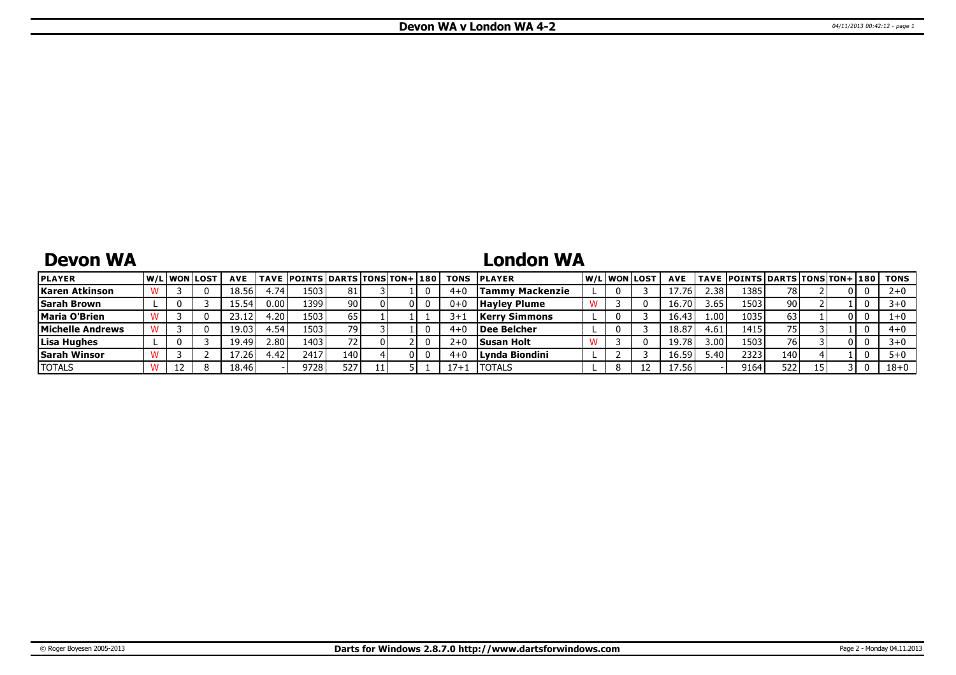## **Devon WA**

## **London WA**

| <b>PLAYER</b>       |   | <b>W/Liwonilost</b> | <b>AVE</b> |      | <b>TAVE POINTS DARTS TONS TON+ 180</b> |     |  |          | <b>TONS PLAYER</b>   |  | W/Liwonilost | <b>AVE</b> |                   | TAVE  POINTS   DARTS   TONS   TON+   180 |                 |     | TONS     |
|---------------------|---|---------------------|------------|------|----------------------------------------|-----|--|----------|----------------------|--|--------------|------------|-------------------|------------------------------------------|-----------------|-----|----------|
| Karen Atkinson      |   |                     | 18.56      | t.74 | 1503                                   | 81  |  | 4+       | Tammy Mackenzie      |  |              |            | 2.38              | 1385                                     | 78              | 01  |          |
| <b>Sarah Brown</b>  |   |                     | IF 54.     | 0.00 | 1399                                   | 90  |  |          | <b>Havley Plume</b>  |  |              | 16.70      | 3.65              | 1503                                     | 90 <sub>1</sub> |     |          |
| Maria O'Brien       |   |                     |            | 1.20 | 1503                                   | 65  |  |          | <b>Kerry Simmons</b> |  |              | 16.43      | 1.00 <sup>1</sup> | 1035                                     | 63              | υı  |          |
| Michelle Andrews    |   |                     | 19.03      | 4.54 | 1503                                   | 79  |  |          | Dee Belcher          |  |              | 18.8       | 4.61              | 1415                                     | 75              |     | $4 + 0$  |
| Lisa Hughes         |   |                     | 19.49'     | 2.80 | 1403                                   |     |  | 2+       | <b>Susan Holt</b>    |  |              | 19.78      | 3.00              | 1503                                     | 76              | 0 I |          |
| <b>Sarah Winsor</b> |   |                     | '.26       | 4.42 | 2417                                   | 140 |  |          | Lynda Biondini       |  |              | 16.59      | .40               | 2323                                     | 140             |     |          |
| <b>TOTALS</b>       | ᆠ |                     | 18.46      |      | 9728                                   | 527 |  | $17 +$ . | <b>ITOTALS</b>       |  |              | 7.56       |                   | 9164                                     | 522             |     | $18 + 0$ |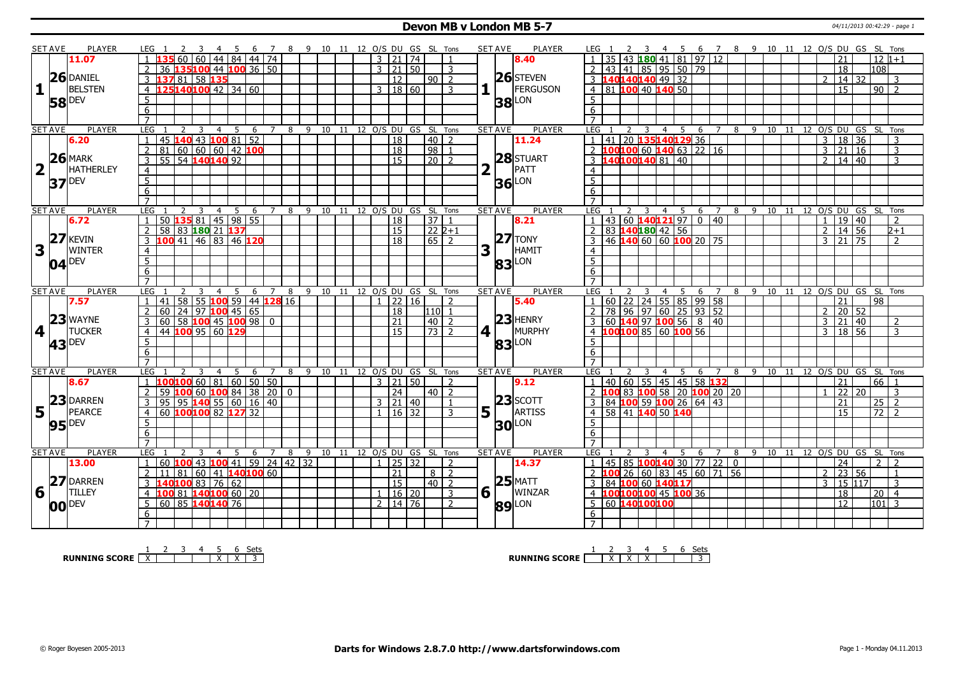#### **Devon MB v London MB 5-7** 04/11/2013 00:42:29 - page 1

|                         | <b>SET AVE</b> | <b>PLAYER</b>       | LEG 1<br>-3<br>$-4$                                             |                   | 5 6 7 8 9 10 11 12 O/S DU GS SL Tons |                                |      |              |                     |       |                                        | <b>SET AVE</b><br><b>PLAYER</b> | 4 5 6 7 8 9 10 11 12 O/S DU GS SL Tons<br>LEG 1                                                           |  |
|-------------------------|----------------|---------------------|-----------------------------------------------------------------|-------------------|--------------------------------------|--------------------------------|------|--------------|---------------------|-------|----------------------------------------|---------------------------------|-----------------------------------------------------------------------------------------------------------|--|
|                         |                | 11.07               | 60 60                                                           | 44   84   44   74 |                                      |                                |      |              | 3   21   74         |       | $\overline{1}$                         | 8.40                            | $180$ 41 81 97 12<br>$12 1+1$<br>35<br>43<br>21                                                           |  |
|                         |                |                     | 135100 44 100 36 50<br>36                                       |                   |                                      |                                |      |              | 3 21 50             |       | 3                                      |                                 | 43 41 85 95 50 79<br>18<br>l108 l                                                                         |  |
|                         |                | 26 DANIEL           | 81 58 135<br>137<br>3                                           |                   |                                      |                                |      |              | 12                  |       | 90<br>$\overline{2}$                   | $26$ STEVEN                     | 140140140 49 32<br>  14   32<br>3 <sup>1</sup><br>3                                                       |  |
| $\mathbf{1}$            |                | <b>BELSTEN</b>      | 125140100 42 34 60                                              |                   |                                      |                                |      |              |                     |       | 3                                      | FERGUSON                        | $4$ 81 100 40 140 50<br>$\overline{15}$<br>$90$   2                                                       |  |
|                         |                |                     | $\overline{4}$                                                  |                   |                                      |                                |      |              | 3   18   60         |       |                                        |                                 |                                                                                                           |  |
|                         |                | <b>58</b> DEV       | 5                                                               |                   |                                      |                                |      |              |                     |       |                                        | <b>38</b> LON                   | 5                                                                                                         |  |
|                         |                |                     | 6                                                               |                   |                                      |                                |      |              |                     |       |                                        |                                 | $\overline{6}$                                                                                            |  |
|                         |                |                     | $\overline{7}$                                                  |                   |                                      |                                |      |              |                     |       |                                        |                                 | $\overline{7}$                                                                                            |  |
|                         | <b>SET AVE</b> | <b>PLAYER</b>       | <b>LEG</b><br>$\overline{3}$<br>$\overline{4}$<br>$\mathcal{L}$ | - 5<br>6          | $7^{\circ}$                          | 8 9 10 11 12 0/S DU GS SL Tons |      |              |                     |       |                                        | <b>PLAYER</b><br><b>SET AVE</b> | LEG<br>7 8 9 10 11 12 O/S DU GS SL Tons<br>$\overline{4}$<br>5<br>6<br>2<br>3                             |  |
|                         |                | 6.20                | $\overline{43}$<br>45<br>140<br>$\mathbf{1}$                    | $10081$ 52        |                                      |                                |      |              | $\overline{18}$     |       | 40<br>$\overline{2}$                   | 11.24                           | 41 20 135140129 36<br>18 36<br>$\overline{3}$<br>3                                                        |  |
|                         |                |                     | 60 60 60 42 100<br>$\overline{2}$<br>$ 81\rangle$               |                   |                                      |                                |      |              | $\overline{18}$     |       | $\overline{98}$<br>$\overline{1}$      |                                 | 2 100 100 60 140 63 22 16<br>$3 \mid 21 \mid 16$<br>3                                                     |  |
|                         |                | $26$ MARK           | $\overline{3}$<br>54 140140 92<br>$\overline{55}$               |                   |                                      |                                |      |              | 15                  |       | $\overline{20}$<br>$\overline{2}$      | 28 STUART                       | 140100140 81 40<br>$2 \mid 14 \mid 40$<br>3<br>3                                                          |  |
| $\overline{\mathbf{2}}$ |                | <b>HATHERLEY</b>    | $\overline{4}$                                                  |                   |                                      |                                |      |              |                     |       |                                        | PATT                            | $\overline{4}$                                                                                            |  |
|                         |                | $37$ <sup>DEV</sup> | $\overline{5}$                                                  |                   |                                      |                                |      |              |                     |       |                                        | $36$ LON                        | $\overline{5}$                                                                                            |  |
|                         |                |                     | 6                                                               |                   |                                      |                                |      |              |                     |       |                                        |                                 | 6                                                                                                         |  |
|                         |                |                     | $\overline{7}$                                                  |                   |                                      |                                |      |              |                     |       |                                        |                                 | $\overline{7}$                                                                                            |  |
|                         | <b>SET AVE</b> | <b>PLAYER</b>       | LEG<br>$\overline{3}$<br>$\overline{4}$<br>2                    | - 5<br>6          | $\overline{7}$<br>8                  | 9<br>10                        | 11   |              |                     |       | 12 O/S DU GS SL Tons                   | <b>SET AVE</b><br><b>PLAYER</b> | LEG<br>$4 \overline{5}$<br>6 <sub>7</sub><br>$8 \quad 9 \quad 10$<br>12 O/S DU GS SL Tons<br>3<br>11<br>2 |  |
|                         |                | 6.72                | 50 135 81 45 98 55<br>$\overline{1}$                            |                   |                                      |                                |      |              | 18                  |       | $\overline{37}$                        | 8.21                            | $43 \mid 60$ 140121 97 0 40<br>19<br>$\sqrt{40}$<br>$\overline{z}$                                        |  |
|                         |                |                     | 58 83 180 21 137<br>$\overline{2}$                              |                   |                                      |                                |      |              | 15                  |       | $ 22 2+1$                              |                                 | 83 140180 42 56<br>14 56<br>$\overline{2}$<br>$2 + 1$<br>$\mathcal{L}$                                    |  |
|                         |                | $27$ <b>KEVIN</b>   | 100 41 46 83 46 120<br>$\overline{3}$                           |                   |                                      |                                |      |              | $\overline{18}$     |       | $65$   2                               | $ 27 $ TONY                     | 46 <b>140</b> 60 60 <b>100</b> 20 75<br>$3 \mid 21 \mid 75$<br>3<br>$\overline{2}$                        |  |
| $\overline{\mathbf{3}}$ |                | <b>WINTER</b>       | $\overline{4}$                                                  |                   |                                      |                                |      |              |                     |       |                                        | 3<br>HAMIT                      | $\overline{4}$                                                                                            |  |
|                         |                |                     | $\overline{5}$                                                  |                   |                                      |                                |      |              |                     |       |                                        |                                 | $\overline{5}$                                                                                            |  |
|                         |                | $04$ <sup>DEV</sup> | $\overline{6}$                                                  |                   |                                      |                                |      |              |                     |       |                                        | <b>83</b> LON                   | 6                                                                                                         |  |
|                         |                |                     | $\overline{7}$                                                  |                   |                                      |                                |      |              |                     |       |                                        |                                 | $\overline{7}$                                                                                            |  |
|                         | <b>SET AVE</b> | <b>PLAYER</b>       | <b>LEG</b><br>$\overline{4}$                                    | - 5               | $\overline{7}$                       | 9<br>10                        | - 11 |              |                     |       |                                        | <b>PLAYER</b><br><b>SET AVE</b> | LEG<br>12 O/S DU GS SL Tons<br>6 7 8 9 10 11                                                              |  |
|                         |                | 7.57                | 58 55 100 59 44 128 16<br>41                                    | 6                 | 8                                    |                                |      |              |                     | 22 16 | 12 O/S DU GS SL Tons<br>$\overline{z}$ | 5.40                            | 4 5<br>$60$   22   24   55   85   99   58<br>98<br>21                                                     |  |
|                         |                |                     | 24 97 <b>100</b> 45 65                                          |                   |                                      |                                |      |              |                     |       | 110 1                                  |                                 |                                                                                                           |  |
|                         |                | $23$ WAYNE          | $\overline{2}$<br>60                                            |                   |                                      |                                |      |              | 18                  |       |                                        | $23$ HENRY                      | 78 96 97 60 25 93 52<br> 20 52<br>$\overline{\phantom{a}}$                                                |  |
|                         |                |                     | $60$ 58 100 45 100 98 0<br>3                                    |                   |                                      |                                |      |              | 21                  |       | 40<br>$\overline{z}$                   |                                 | 60 140 97 100 56 8 40<br>21 40<br>3<br>$\overline{2}$<br>3                                                |  |
| 4                       |                | <b>TUCKER</b>       | 44 100 95 60 129<br>$\overline{4}$                              |                   |                                      |                                |      |              | $\overline{15}$     |       | $73\overline{)2}$                      | MURPHY<br>4 <sup>1</sup>        | 4 100100 85 60 100 56<br>3   18   56<br>$\mathbf{3}$                                                      |  |
|                         | 43             |                     |                                                                 |                   |                                      |                                |      |              |                     |       |                                        |                                 |                                                                                                           |  |
|                         |                | <b>DEV</b>          | $5\overline{)}$                                                 |                   |                                      |                                |      |              |                     |       |                                        |                                 | 5                                                                                                         |  |
|                         |                |                     | $\overline{6}$                                                  |                   |                                      |                                |      |              |                     |       |                                        | <b>83</b> LON                   | $6\overline{6}$                                                                                           |  |
|                         |                |                     | $\overline{7}$                                                  |                   |                                      |                                |      |              |                     |       |                                        |                                 | $\overline{7}$                                                                                            |  |
|                         | <b>SET AVE</b> | <b>PLAYER</b>       | <b>LEG</b><br>4                                                 | -5<br>-6          | 8<br>7                               | -9<br>10                       | - 11 |              |                     |       | 12 O/S DU GS SL Tons                   | <b>PLAYER</b><br><b>SET AVE</b> | LEG<br>9 10 11 12 O/S DU GS SL Tons<br>$\overline{4}$<br>8<br>6<br>$\overline{7}$                         |  |
|                         |                | 8.67                | $100100$ 60   81   60   50   50<br>-1                           |                   |                                      |                                |      |              | $3 \mid 21 \mid 50$ |       | 2                                      | 9.12                            | 40 60 55 45 45 58 132<br>66 1<br>21<br>1                                                                  |  |
|                         |                |                     | 100 60 100 84 38 20<br>$\overline{2}$<br>59                     |                   | $\overline{0}$                       |                                |      |              | $\overline{24}$     |       | $40\overline{2}$                       |                                 | 2 100 83 100 58 20 100 20 20<br>$\overline{22}$<br>l 20<br>3                                              |  |
|                         |                | 23 DARREN           | $\overline{3}$<br>95<br>  95   140   55   60   16   40          |                   |                                      |                                |      |              | 3   21   40         |       | $\overline{1}$                         | $ 23 $ SCOTT                    | 84 100 59 100 26 64 43<br>$25$   2<br>3<br>21                                                             |  |
| 5                       | l L            | <b>PEARCE</b>       | 60 100 100 82<br>$\overline{4}$                                 | 12732             |                                      |                                |      | $\mathbf{1}$ |                     | 16 32 | 3                                      | 5 <sup>1</sup><br>ARTISS        | 58 41 140 50 140<br>72<br>$\overline{15}$<br>$\overline{4}$                                               |  |
|                         |                |                     | $\overline{5}$                                                  |                   |                                      |                                |      |              |                     |       |                                        |                                 | 5                                                                                                         |  |
|                         |                | $95$ <sup>DEV</sup> | 6                                                               |                   |                                      |                                |      |              |                     |       |                                        | <b>30 LON</b>                   | 6                                                                                                         |  |
|                         |                |                     | $\overline{7}$                                                  |                   |                                      |                                |      |              |                     |       |                                        |                                 | $\overline{7}$                                                                                            |  |
|                         | <b>SET AVE</b> | <b>PLAYER</b>       | <b>LEG</b><br>3<br>$\overline{4}$                               | 5<br>6            | 8<br>$\overline{7}$                  | 9<br>10                        | - 11 |              |                     |       | 12 O/S DU GS SL Tons                   | <b>SET AVE</b><br><b>PLAYER</b> | LEG<br>9 10<br>12 O/S DU GS SL Tons<br>$\overline{4}$<br>5.<br>6 7<br>8<br>11                             |  |
|                         |                | 13.00               | 60 $100$ 43 $100$ 41 59 24 42 32<br>$\overline{1}$              |                   |                                      |                                |      |              | 1 25 32             |       | $\overline{z}$                         | 14.37                           | 24<br>2 <sup>1</sup><br>$\overline{2}$<br>$\mathbf{1}$                                                    |  |
|                         |                |                     | 81<br>2<br>11                                                   |                   |                                      |                                |      |              | 21                  |       | $\overline{2}$<br>8 I                  |                                 | 45 85 100 140 30 77 22 0<br>  23   56<br>2<br>2<br>$\overline{1}$                                         |  |
|                         |                | 27 DARREN           | 60<br>3                                                         | $ 41 $ 140100 60  |                                      |                                |      |              | $\overline{15}$     |       | $40$   2                               |                                 | 26 60 83 45 60 71 56<br>3 15 117<br>$\overline{3}$<br>3                                                   |  |
|                         |                |                     | 140100 83 76 62                                                 |                   |                                      |                                |      |              |                     |       |                                        | $25$ MATT                       | 84 100 60 140117                                                                                          |  |
| 6                       |                | <b>TILLEY</b>       | 100 81 140 100 60 20<br>$\overline{4}$                          |                   |                                      |                                |      |              | 1 16 20             |       | 3                                      | $6 \mid$<br>WINZAR              | 4 100100100 45 100 36<br>18<br>$20\overline{)4}$                                                          |  |
|                         |                | <b>00 DEV</b>       | 60 85 140 140 76<br>5                                           |                   |                                      |                                |      |              | 2   14   76         |       | 2                                      | <b>89</b> LON                   | 60 140100100<br>$ 101 $ 3<br>5<br><sup>12</sup>                                                           |  |
|                         |                |                     | 6<br>$\overline{7}$                                             |                   |                                      |                                |      |              |                     |       |                                        |                                 | 6                                                                                                         |  |

**RUNNING SCORE**  $\begin{array}{|c|c|c|c|c|}\n\hline\n\textbf{1} & \textbf{2} & \textbf{3} & \textbf{4} & \textbf{5} & \textbf{6} & \textbf{Sets} \\
\hline\n\textbf{5} & \textbf{5} & \textbf{8} & \textbf{7} & \textbf{8} & \textbf{1} & \textbf{1} & \textbf{1} & \textbf{1} & \textbf{1} & \textbf{1} \\
\hline\n\textbf{6} & \textbf{7} & \textbf{8} & \textbf{1} & \textbf{1} & \textbf{1} & \textbf{1} &$ 

**RUNNING SCORE**  $\begin{array}{|c|c|c|c|c|}\n\hline\n & 2 & 3 & 4 & 5 & 6 & \text{Sets} \\
\hline\n\end{array}$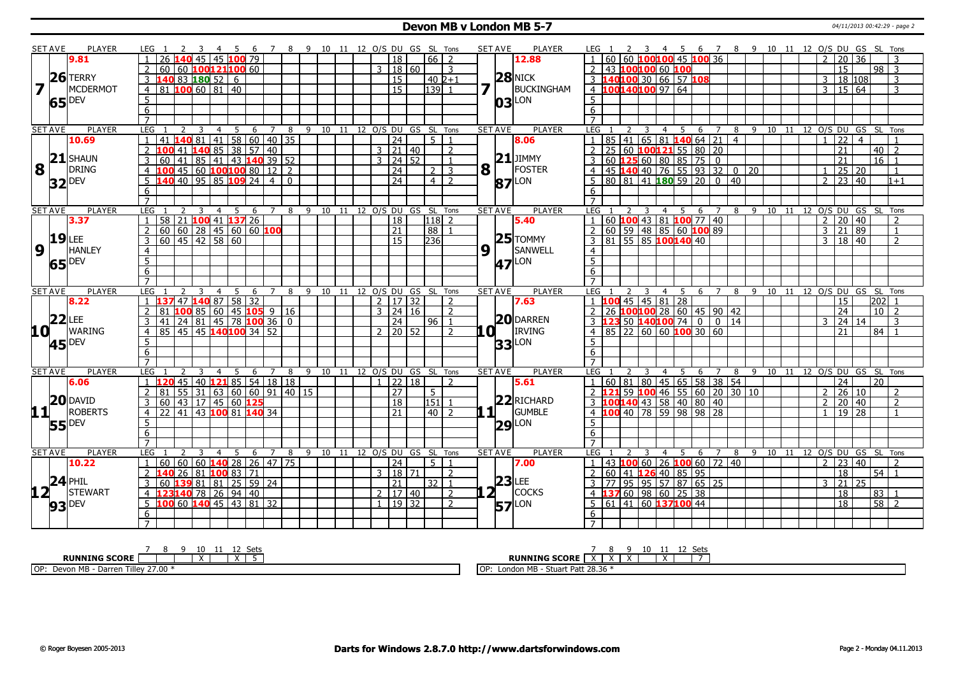### **Devon MB v London MB 5-7** 04/11/2013 00:42:29 - page 2

|                                                 | <b>SET AVE</b> | PLAYER                                 | LEG 1                             | -3<br>-4<br>- 5                                                                                      | - 6             |                |     | 7 8 9 10 11 12 O/S DU GS SL Tons |    |                              |                |                     |                      |                | <b>SET AVE</b>                        | PLAYER              | LEG 1                                                    | 2 3 4 5     |                |   | 6 7 8 9 10 11 12 O/S DU GS SL Tons |                |            |    |    |                                |                   |                     |                 |                                             |         |
|-------------------------------------------------|----------------|----------------------------------------|-----------------------------------|------------------------------------------------------------------------------------------------------|-----------------|----------------|-----|----------------------------------|----|------------------------------|----------------|---------------------|----------------------|----------------|---------------------------------------|---------------------|----------------------------------------------------------|-------------|----------------|---|------------------------------------|----------------|------------|----|----|--------------------------------|-------------------|---------------------|-----------------|---------------------------------------------|---------|
|                                                 |                | 9.81                                   | $\overline{26}$                   | 45 45 100 79                                                                                         |                 |                |     |                                  |    |                              |                | 18                  | $66$   2             |                |                                       | 12.88               | 60                                                       |             |                |   | 60 100100 45 100 36                |                |            |    |    |                                |                   | 2 20 36             |                 | 3                                           |         |
|                                                 |                |                                        | $\overline{2}$                    | 60 60 100121100 60                                                                                   |                 |                |     |                                  |    |                              |                | 3   18   60         |                      | 3              |                                       |                     | $\overline{2}$<br>43 100100 60 100                       |             |                |   |                                    |                |            |    |    |                                |                   | $\overline{15}$     |                 | $98 \mid 3$                                 |         |
|                                                 |                | $26$ TERRY                             | $\overline{3}$                    | 140 83 180 52 6                                                                                      |                 |                |     |                                  |    |                              |                | <sup>15</sup>       | l 40 l2+1            |                |                                       | $28$ NICK           | 3 140100 30 66 57 108                                    |             |                |   |                                    |                |            |    |    |                                |                   | 3 18 108            |                 | 3                                           |         |
|                                                 |                | MCDERMOT                               |                                   | 81 100 60 81 40                                                                                      |                 |                |     |                                  |    |                              |                | 15                  | $139$ 1              |                | 7 <sup>7</sup>                        | BUCKINGHAM          | 4 100140100 97 64                                        |             |                |   |                                    |                |            |    |    |                                |                   | $3 \mid 15 \mid 64$ |                 | 3                                           |         |
|                                                 |                |                                        | $\overline{4}$                    |                                                                                                      |                 |                |     |                                  |    |                              |                |                     |                      |                |                                       |                     |                                                          |             |                |   |                                    |                |            |    |    |                                |                   |                     |                 |                                             |         |
|                                                 | 65             | <b>DEV</b>                             | $\overline{5}$                    |                                                                                                      |                 |                |     |                                  |    |                              |                |                     |                      |                |                                       | $ 03 $ LON          | 5                                                        |             |                |   |                                    |                |            |    |    |                                |                   |                     |                 |                                             |         |
|                                                 |                |                                        | $\overline{6}$                    |                                                                                                      |                 |                |     |                                  |    |                              |                |                     |                      |                |                                       |                     | $\overline{6}$                                           |             |                |   |                                    |                |            |    |    |                                |                   |                     |                 |                                             |         |
|                                                 |                |                                        | $\overline{7}$                    |                                                                                                      |                 |                |     |                                  |    |                              |                |                     |                      |                |                                       |                     | $\overline{7}$                                           |             |                |   |                                    |                |            |    |    |                                |                   |                     |                 |                                             |         |
|                                                 | <b>SET AVE</b> | PLAYER                                 | LEG                               | 3<br>5<br>4                                                                                          |                 | 6 7 8          |     | 9 10 11 12 O/S DU GS SL Tons     |    |                              |                |                     |                      |                | <b>SET AVE</b>                        | PLAYER              | LEG <sub>1</sub>                                         | -3          | $\overline{4}$ | 5 | 6<br>$\overline{7}$                |                |            |    |    | 8 9 10 11 12 0/S DU GS SL Tons |                   |                     |                 |                                             |         |
|                                                 |                | 10.69                                  | $\overline{1}$<br>41              | 140 81 41 58 60 40 35                                                                                |                 |                |     |                                  |    |                              |                | $\overline{24}$     | 5 <sup>1</sup>       | $\overline{1}$ |                                       | 8.06                | 85                                                       |             |                |   | 41   65   81   140   64   21       | $\overline{4}$ |            |    |    |                                | $1 \overline{22}$ |                     | $\overline{4}$  |                                             |         |
|                                                 |                |                                        | $\overline{2}$<br>100<br>41       | $14085$ 38 57 40                                                                                     |                 |                |     |                                  |    |                              |                | 3   21   40         |                      | $\overline{2}$ |                                       |                     | 25 60 <b>100 121</b> 55 80 20<br>$\overline{2}$          |             |                |   |                                    |                |            |    |    |                                |                   | 21                  |                 | 40<br>$\overline{2}$                        |         |
|                                                 |                | $21$ SHAUN                             | 60                                | 41   85   41   43   140   39   52                                                                    |                 |                |     |                                  |    |                              | $\overline{3}$ | 24 52               |                      | $\overline{1}$ |                                       | $21$ JIMMY          | 60                                                       | 12560808575 |                |   | $\mathbf 0$                        |                |            |    |    |                                |                   | $\overline{21}$     |                 | $\overline{16}$                             |         |
| $\overline{\mathbf{8}}$ $\overline{\mathbf{1}}$ |                | DRING                                  | 100<br>$\overline{4}$             | 45   60   <mark>100</mark>  100  80                                                                  |                 | $12$   2       |     |                                  |    |                              |                | 24                  | 2                    | 3              | $\mathbf{8}$ $\overline{\phantom{0}}$ | FOSTER              | 45 <b>140</b> 40 76 55 93 32<br>4                        |             |                |   |                                    |                | $0\quad20$ |    |    |                                |                   | 25 20               |                 | $\overline{1}$                              |         |
|                                                 |                | $32$ <sup>DEV</sup>                    | 5<br>140                          | 40 95 85 109 24 4 0                                                                                  |                 |                |     |                                  |    |                              |                | $\sqrt{24}$         | $4 \mid 2$           |                |                                       | <b>87</b> LON       | 80 81 41 180 59 20<br>$5^{\circ}$                        |             |                |   | $\overline{0}$                     | 40             |            |    |    |                                |                   | $2$   23   40       |                 |                                             | $1 + 1$ |
|                                                 |                |                                        | 6                                 |                                                                                                      |                 |                |     |                                  |    |                              |                |                     |                      |                |                                       |                     | 6                                                        |             |                |   |                                    |                |            |    |    |                                |                   |                     |                 |                                             |         |
|                                                 |                |                                        | $\overline{7}$                    |                                                                                                      |                 |                |     |                                  |    |                              |                |                     |                      |                |                                       |                     | $\overline{7}$                                           |             |                |   |                                    |                |            |    |    |                                |                   |                     |                 |                                             |         |
|                                                 | <b>SET AVE</b> | <b>PLAYER</b>                          | LEG                               | 3<br>$\overline{4}$<br>5 <sup>5</sup>                                                                | 6               | $\overline{7}$ | 8   | 10<br>9                          |    | 11 12 0/S DU GS SL Tons      |                |                     |                      |                | <b>SET AVE</b>                        | PLAYER              | LEG                                                      | 3           | $\overline{4}$ | 5 | 6<br>$\overline{7}$                | 8              | - 9        | 10 | 11 | 12 O/S DU GS SL Tons           |                   |                     |                 |                                             |         |
|                                                 |                | 3.37                                   | 58<br>$\overline{21}$             | 100 41 137 26                                                                                        |                 |                |     |                                  |    |                              |                | $\overline{18}$     | 118 2                |                |                                       | 5.40                | 60 100 43 81 100 77 40                                   |             |                |   |                                    |                |            |    |    |                                |                   | 2   20   40         |                 | $\overline{2}$                              |         |
|                                                 |                |                                        | $\overline{2}$                    |                                                                                                      |                 |                |     |                                  |    |                              |                | $\overline{21}$     | 88                   | $\overline{1}$ |                                       |                     |                                                          |             |                |   |                                    |                |            |    |    |                                |                   | $3 \mid 21 \mid 89$ |                 | $\overline{1}$                              |         |
|                                                 | 19             | LEE                                    | $\overline{3}$                    | $\frac{120}{60}$ $\frac{120}{60}$ $\frac{128}{45}$ $\frac{45}{60}$ $\frac{60}{60}$ $\frac{100}{400}$ |                 |                |     |                                  |    |                              |                | <sup>15</sup>       | 236                  |                |                                       | $25$ TOMMY          | <u>2 60 59 48 85 60 100 89<br/>3 81 55 85 100 140</u> 40 |             |                |   |                                    |                |            |    |    |                                |                   | 3   18   40         |                 | $\overline{2}$                              |         |
| 9 1                                             |                | <b>HANLEY</b>                          | $\overline{4}$                    |                                                                                                      |                 |                |     |                                  |    |                              |                |                     |                      |                | 9                                     | SANWELL<br>H.       | $\overline{4}$                                           |             |                |   |                                    |                |            |    |    |                                |                   |                     |                 |                                             |         |
|                                                 | 65 DEV         |                                        | $\overline{5}$                    |                                                                                                      |                 |                |     |                                  |    |                              |                |                     |                      |                |                                       | <b>47</b> LON       | 5                                                        |             |                |   |                                    |                |            |    |    |                                |                   |                     |                 |                                             |         |
|                                                 |                |                                        | $\overline{6}$                    |                                                                                                      |                 |                |     |                                  |    |                              |                |                     |                      |                |                                       |                     | 6                                                        |             |                |   |                                    |                |            |    |    |                                |                   |                     |                 |                                             |         |
|                                                 |                |                                        | $\overline{7}$                    |                                                                                                      |                 |                |     |                                  |    |                              |                |                     |                      |                |                                       |                     | $\overline{7}$                                           |             |                |   |                                    |                |            |    |    |                                |                   |                     |                 |                                             |         |
|                                                 | <b>SET AVE</b> | <b>PLAYER</b>                          | <b>LEG</b>                        | -5<br>$\overline{4}$                                                                                 | 6               | $\overline{7}$ | - 8 | 9 10 11 12 O/S DU GS SL Tons     |    |                              |                |                     |                      |                | <b>SET AVE</b>                        | <b>PLAYER</b>       | LEG                                                      | 3           | $\overline{4}$ | 5 | 6 7                                | 8              |            |    |    | 9 10 11 12 O/S DU GS SL Tons   |                   |                     |                 |                                             |         |
|                                                 |                | 8.22                                   | $\overline{1}$                    | 47 140 87 58                                                                                         | $\overline{32}$ |                |     |                                  |    |                              |                | 2   17   32         |                      | $\mathcal{D}$  |                                       | 7.63                | $1 \overline{100}$ 45 45 81 28                           |             |                |   |                                    |                |            |    |    |                                |                   | 15                  |                 | 202                                         |         |
|                                                 |                |                                        | $\overline{2}$<br>81              | 100 85 60 45 105 9 16                                                                                |                 |                |     |                                  |    |                              |                | $3 \mid 24 \mid 16$ |                      | $\overline{2}$ |                                       |                     | 26 <b>100 100</b> 28 60 45 90 42<br>$\overline{2}$       |             |                |   |                                    |                |            |    |    |                                |                   | 24                  |                 | 10 <sup>1</sup><br>$\overline{\phantom{a}}$ |         |
|                                                 | 22             | LEE                                    | 41                                | 24 81 45 78 100 36 0                                                                                 |                 |                |     |                                  |    |                              |                | 24                  | 96   1               |                |                                       | <b>20 DARREN</b>    | 23 50 140 100 74                                         |             |                |   | $\overline{0}$<br>$\overline{0}$   | 14             |            |    |    |                                | 3                 | 24 14               |                 | 3                                           |         |
| <b>10</b>                                       |                | WARING                                 | $\overline{4}$                    | 85 45 45 140 100 34 52                                                                               |                 |                |     |                                  |    |                              |                | $2 \mid 20 \mid 52$ |                      | $\overline{z}$ | LO L                                  | <b>IRVING</b>       | 85<br>$\overline{4}$                                     |             |                |   | 22   60   60   100   30   60       |                |            |    |    |                                |                   | 21                  |                 | 84                                          |         |
|                                                 |                | 45 DEV                                 | $\overline{5}$                    |                                                                                                      |                 |                |     |                                  |    |                              |                |                     |                      |                |                                       | $33$ LON            | 5                                                        |             |                |   |                                    |                |            |    |    |                                |                   |                     |                 |                                             |         |
|                                                 |                |                                        | 6                                 |                                                                                                      |                 |                |     |                                  |    |                              |                |                     |                      |                |                                       |                     | 6                                                        |             |                |   |                                    |                |            |    |    |                                |                   |                     |                 |                                             |         |
|                                                 |                |                                        | $\overline{7}$                    |                                                                                                      |                 |                |     |                                  |    |                              |                |                     |                      |                |                                       |                     | $\overline{7}$                                           |             |                |   |                                    |                |            |    |    |                                |                   |                     |                 |                                             |         |
|                                                 | <b>SET AVE</b> | <b>PLAYER</b>                          | <b>LEG</b><br>2                   | $\overline{4}$<br>5                                                                                  | 6               | $\overline{7}$ | 8   | 9<br>10                          | 11 |                              |                |                     | 12 O/S DU GS SL Tons |                | <b>SET AVE</b>                        | <b>PLAYER</b>       | LEG                                                      |             | $\overline{4}$ | 5 | 6<br>7                             | 8              | 9          | 10 | 11 | 12 O/S DU GS SL                |                   |                     |                 | Tons                                        |         |
|                                                 |                | 6.06                                   | 45<br>$\overline{1}$              | 40 121 85 54                                                                                         |                 | 18 18          |     |                                  |    |                              |                | 22 18               |                      | $\mathcal{P}$  |                                       | 5.61                | 60<br> 81 <br>$\mathbf{1}$                               |             |                |   | 80   45   65   58   38   54        |                |            |    |    |                                |                   | $\overline{24}$     | $\overline{20}$ |                                             |         |
|                                                 |                |                                        | 55<br>2<br>81                     | 31   63   60   60   91   40   15                                                                     |                 |                |     |                                  |    |                              |                | $\overline{27}$     | 5 <sup>5</sup>       |                |                                       |                     | 2 121 59 100 46 55 60 20 30 10                           |             |                |   |                                    |                |            |    |    |                                |                   | $2 \mid 26 \mid 10$ |                 | $\mathcal{L}$                               |         |
|                                                 |                | $11$ <sup>20</sup> <b><i>PANID</i></b> | 3<br>60                           | 43 17 45 60 125                                                                                      |                 |                |     |                                  |    |                              |                | 18                  | 151                  |                |                                       | $22$ RICHARD        | 3 100140 43 58 40 80 40                                  |             |                |   |                                    |                |            |    |    |                                |                   | 2 20 40             |                 | $\overline{2}$                              |         |
|                                                 |                | <b>ROBERTS</b>                         | $\overline{22}$<br>$\overline{4}$ | 41   43   <mark>100</mark> 81   <mark>140</mark> 34                                                  |                 |                |     |                                  |    |                              |                | $\overline{21}$     | $\overline{40}$   2  |                | $1\vert$ $\vert$                      | <b>GUMBLE</b>       | 4 100 40 78 59 98 98 28                                  |             |                |   |                                    |                |            |    |    |                                |                   | $1 \mid 19 \mid 28$ |                 | $\overline{1}$                              |         |
|                                                 |                | <b>55</b> DEV                          | $\overline{5}$                    |                                                                                                      |                 |                |     |                                  |    |                              |                |                     |                      |                |                                       | $29$ <sup>LON</sup> | 5                                                        |             |                |   |                                    |                |            |    |    |                                |                   |                     |                 |                                             |         |
|                                                 |                |                                        | 6                                 |                                                                                                      |                 |                |     |                                  |    |                              |                |                     |                      |                |                                       |                     | 6                                                        |             |                |   |                                    |                |            |    |    |                                |                   |                     |                 |                                             |         |
|                                                 |                |                                        | $\overline{7}$                    |                                                                                                      |                 |                |     |                                  |    |                              |                |                     |                      |                |                                       |                     | $\overline{7}$                                           |             |                |   |                                    |                |            |    |    |                                |                   |                     |                 |                                             |         |
|                                                 |                |                                        |                                   |                                                                                                      |                 |                |     |                                  |    | 9 10 11 12 0/S DU GS SL Tons |                |                     |                      |                | <b>SET AVE</b>                        | PLAYER              | LEG                                                      |             | $\overline{4}$ | 5 | 6<br>$\overline{7}$                |                |            |    |    | 8 9 10 11 12 O/S DU GS SL Tons |                   |                     |                 |                                             |         |
|                                                 |                |                                        |                                   | $\overline{4}$                                                                                       |                 | $\overline{7}$ |     |                                  |    |                              |                |                     |                      |                |                                       | 7.00                |                                                          |             |                |   |                                    |                |            |    |    |                                |                   |                     |                 |                                             |         |
|                                                 | <b>SET AVE</b> | PLAYER                                 | LEG                               | -5                                                                                                   | -6              |                | - 8 |                                  |    |                              |                |                     |                      |                |                                       |                     | $\mathbf{1}$                                             |             |                |   |                                    |                |            |    |    |                                |                   |                     |                 |                                             |         |
|                                                 |                | 10.22                                  | $\mathbf{1}$                      | 60   60   60   140   28   26   47   75                                                               |                 |                |     |                                  |    |                              |                | $\sqrt{24}$         | $5\vert 1$           |                |                                       |                     | 43   100 60   26   100 60   72   40                      |             |                |   |                                    |                |            |    |    |                                |                   | $2 \mid 23 \mid 40$ |                 | 2<br>$\overline{1}$                         |         |
|                                                 |                |                                        | $\overline{2}$                    | <b>140</b> 26 81 <b>100</b> 83 71                                                                    |                 |                |     |                                  |    |                              |                | 3   18   71         |                      | $\overline{2}$ |                                       |                     | $\overline{2}$<br>  60   41   126   40   85   95         |             |                |   |                                    |                |            |    |    |                                |                   | $\overline{18}$     |                 | 54                                          |         |
|                                                 |                |                                        | 3<br>60                           | 139881812555924                                                                                      |                 |                |     |                                  |    |                              |                | 21                  | $32$   1             |                |                                       | $23$ LEE            |                                                          |             |                |   | $95$ 95 57 87 65 25                |                |            |    |    |                                |                   | $3 \mid 21 \mid 25$ |                 |                                             |         |
|                                                 |                | $12^{24}$ FHIL<br>STEWART              | 4                                 | <mark>140</mark> 78   26   94   40                                                                   |                 |                |     |                                  |    |                              | 2              | 17 40               |                      | 2              |                                       | <b>COCKS</b>        | $3760$ 98 60 25 38                                       |             |                |   |                                    |                |            |    |    |                                |                   | 18                  |                 | 83                                          |         |
|                                                 |                | <b>93</b> DEV                          | 5                                 | 100 60 140 45 43 81 32                                                                               |                 |                |     |                                  |    |                              | $\mathbf{1}$   | 19 32               |                      | $\overline{2}$ |                                       | <b>57</b> LON       | $\boxed{61}$ 41 60 <b>137100</b> 44<br>5 <sup>5</sup>    |             |                |   |                                    |                |            |    |    |                                |                   | $\overline{18}$     |                 | $58$   2                                    |         |
|                                                 |                |                                        | 6<br>$\overline{7}$               |                                                                                                      |                 |                |     |                                  |    |                              |                |                     |                      |                |                                       |                     | 6<br>$\overline{7}$                                      |             |                |   |                                    |                |            |    |    |                                |                   |                     |                 |                                             |         |

|                                                                                 | .′≏*<br>ັບປະ                                                                |
|---------------------------------------------------------------------------------|-----------------------------------------------------------------------------|
| <b>RUNNING SCORE</b><br>. .<br>$\lambda$                                        | <b>RUNNING SCORE</b><br>$\overline{\phantom{a}}$                            |
| 27.00<br>$T:II \rightarrow I$<br>OP:<br><b>MC</b><br>Devor<br>Darren<br>பப<br>. | L ግቡ ግ <i>ሮ</i> ነ<br>OP:<br>.<br>- Shiart Patt<br>. мо<br>ondor<br>t 28.36. |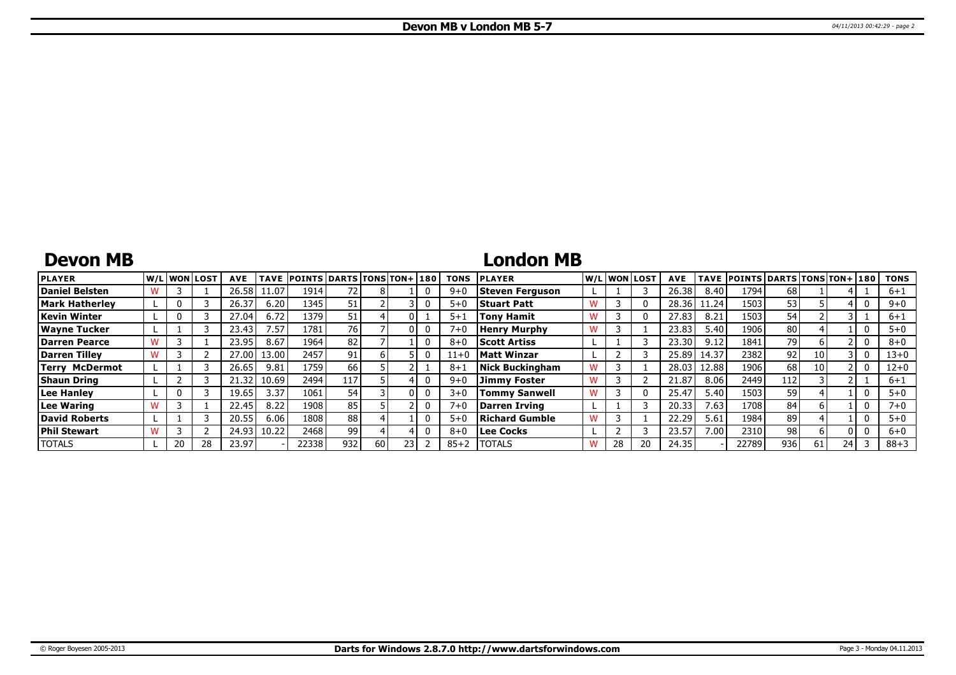## **Devon MB**

# **London MB**

| <b>PLAYER</b>         | W/L WON LOST |    | <b>AVE</b> | <b>TAVE</b> | <b>POINTS DARTS TONS TON+180</b> |      |    |  | <b>TONS</b> | <b>PLAYER</b>        |   |    | W/L WON LOST | <b>AVE</b> |                   | TAVE POINTS DARTS TONS TON+ 180 |                 |    |    | <b>TONS</b> |
|-----------------------|--------------|----|------------|-------------|----------------------------------|------|----|--|-------------|----------------------|---|----|--------------|------------|-------------------|---------------------------------|-----------------|----|----|-------------|
| Daniel Belsten        |              |    | 26.58      | 11.07       | 1914                             |      |    |  | $9 + 0$     | Steven Ferguson      |   |    |              | 26.38      | 8.40              | 1794                            | 68              |    |    | $6 + 1$     |
| <b>Mark Hatherley</b> |              |    | 26.37      | 6.20        | 1345                             |      |    |  | $5 + 0$     | <b>Stuart Patt</b>   |   |    |              | 28.36      | 11.24             | 1503                            | 53              |    |    | $9 + 0$     |
| Kevin Winter          |              |    | 27.04      | 6.72        | 1379                             | 51   |    |  | $5 + 1$     | <b>Tony Hamit</b>    |   |    |              | 27.83      | 8.21              | 1503                            | 54              |    |    | $6 + 1$     |
| <b>Wayne Tucker</b>   |              |    | 23.43      | 7.57        | 1781                             | 76 I |    |  | $7 + 0$     | <b>Henry Murphy</b>  |   |    |              | 23.83      | 5.40              | 1906                            | 80              |    |    | $5 + 0$     |
| <b>Darren Pearce</b>  |              |    | 23.95      | 8.67        | 1964                             | 82   |    |  | $8 + 0$     | <b>Scott Artiss</b>  |   |    |              | 23.30      | 9.12              | 1841                            | 79              |    |    | $8 + 0$     |
| Darren Tillev         |              |    | 27.00      | 13.00 l     | 2457                             | 91   |    |  | $11+0$      | <b>Matt Winzar</b>   |   |    |              | 25.89      | 14.37             | 2382                            | 92 <sub>1</sub> | 10 |    | $13+0$      |
| <b>Terry McDermot</b> |              |    | 26.65      | 9.81        | 1759                             | 66   |    |  | $8 + 1$     | Nick Buckingham      |   |    |              | 28.03      | 12.88             | 1906                            | 68              | 10 |    | $12+0$      |
| <b>Shaun Dring</b>    |              |    | 21.32      | 10.69       | 2494                             | 117  |    |  | $9 + 0$     | Jimmv Foster         |   |    |              | 21.87      | 8.06              | 2449                            | 112             |    |    | $6 + 1$     |
| Lee Hanley            |              |    | 19.65      | 3.37        | 1061                             | 54   |    |  | $3 + 0$     | <b>Tommy Sanwell</b> | w |    |              | 25.47      | 5.40              | 1503                            | 59              |    |    | $5 + 0$     |
| Lee Waring            |              |    | 22.45      | 8.22        | 1908                             | 85   |    |  | $7 + 0$     | Darren Irving        |   |    |              | 20.33      | 7.63 <sub>1</sub> | 1708                            | 84              |    |    | $7 + 0$     |
| David Roberts         |              |    | 20.55      | 6.06        | 1808                             | 88   |    |  | $5 + 0$     | Richard Gumble       |   |    |              | 22.29      | 5.61              | 1984                            | 89              |    |    | $5 + 0$     |
| <b>Phil Stewart</b>   |              |    | 24.93      | 10.22       | 2468                             | 99   |    |  | $8 + 0$     | Lee Cocks            |   |    |              | 23.57      | 7.00              | 2310                            | 98 <sub>1</sub> |    |    | $6 + 0$     |
| <b>TOTALS</b>         | 20           | 28 | 23.97      |             | 22338                            | 932  | 60 |  | $85 + 2$    | <b>ITOTALS</b>       |   | 28 |              | 24.35      |                   | 22789                           | 936             | 61 | 24 | $88 + 3$    |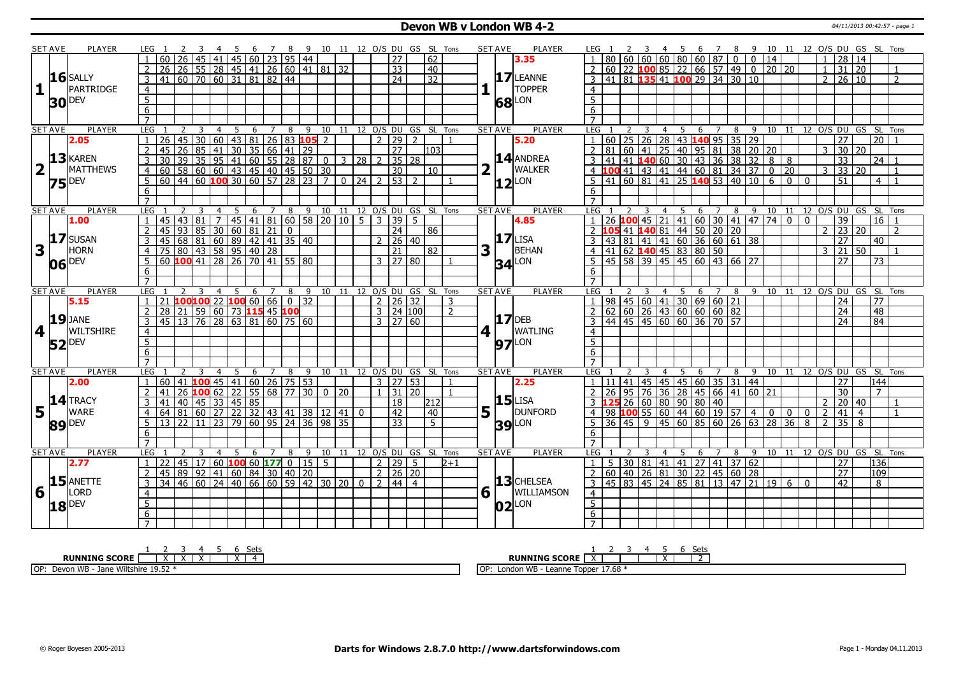### **Devon WB v London WB 4-2** 04/11/2013 00:42:57 - page 1

|                         | <b>SET AVE</b> | <b>PLAYER</b>       |                     | LEG 1           |         |                 | -3              |                 |                            |                                      |                 |                   |                                          |                                                                         |             |                  |                |                      |                     |                                    | 4 5 6 7 8 9 10 11 12 O/S DU GS SL Tons |   | <b>SET AVE</b>  | <b>PLAYER</b>       | LEG 1               |                 |                     | 3      |                | 45                                                                    |                            |                |   |                 |                |                |              |                | 6 7 8 9 10 11 12 O/S DU GS SL Tons   |                |                 |                |
|-------------------------|----------------|---------------------|---------------------|-----------------|---------|-----------------|-----------------|-----------------|----------------------------|--------------------------------------|-----------------|-------------------|------------------------------------------|-------------------------------------------------------------------------|-------------|------------------|----------------|----------------------|---------------------|------------------------------------|----------------------------------------|---|-----------------|---------------------|---------------------|-----------------|---------------------|--------|----------------|-----------------------------------------------------------------------|----------------------------|----------------|---|-----------------|----------------|----------------|--------------|----------------|--------------------------------------|----------------|-----------------|----------------|
|                         |                |                     |                     |                 |         |                 |                 | 41              |                            | 45 60 23 95 44                       |                 |                   |                                          |                                                                         |             |                  |                | 27                   |                     | 62                                 |                                        |   |                 | 3.35                |                     |                 |                     |        |                |                                                                       |                            |                |   | $\overline{0}$  | 14             |                |              |                | 28                                   | 14             |                 |                |
|                         |                |                     |                     | $\overline{26}$ |         |                 |                 |                 |                            |                                      |                 |                   |                                          | 26 55 28 45 41 26 60 41 81 32                                           |             |                  |                | $\overline{33}$      |                     | 40                                 |                                        |   |                 |                     |                     |                 |                     |        |                | $60$   22   100   85   22   66   57   49   0   20   20                |                            |                |   |                 |                |                |              | $\mathbf{1}$   | $31 \ 20$                            |                |                 |                |
|                         |                | $16$ SALLY          | 3                   |                 |         |                 |                 |                 | 41 60 70 60 31 81 82 44    |                                      |                 |                   |                                          |                                                                         |             |                  |                | 24                   |                     | $\overline{32}$                    |                                        |   |                 | 17 LEANNE           |                     |                 |                     |        |                | 41 81 <b>135</b> 41 <b>100</b> 29 34 30 10                            |                            |                |   |                 |                |                |              | $\overline{2}$ | 26 10                                |                |                 | $\overline{2}$ |
| $\mathbf{1}$            |                | PARTRIDGE           | $\overline{4}$      |                 |         |                 |                 |                 |                            |                                      |                 |                   |                                          |                                                                         |             |                  |                |                      |                     |                                    |                                        |   |                 | <b>TOPPER</b>       | $\overline{4}$      |                 |                     |        |                |                                                                       |                            |                |   |                 |                |                |              |                |                                      |                |                 |                |
|                         |                |                     | $\overline{5}$      |                 |         |                 |                 |                 |                            |                                      |                 |                   |                                          |                                                                         |             |                  |                |                      |                     |                                    |                                        |   |                 |                     | 5 <sup>1</sup>      |                 |                     |        |                |                                                                       |                            |                |   |                 |                |                |              |                |                                      |                |                 |                |
|                         |                | <b>30 DEV</b>       |                     |                 |         |                 |                 |                 |                            |                                      |                 |                   |                                          |                                                                         |             |                  |                |                      |                     |                                    |                                        |   | 68              | LON                 |                     |                 |                     |        |                |                                                                       |                            |                |   |                 |                |                |              |                |                                      |                |                 |                |
|                         |                |                     | $\overline{6}$      |                 |         |                 |                 |                 |                            |                                      |                 |                   |                                          |                                                                         |             |                  |                |                      |                     |                                    |                                        |   |                 |                     | 6                   |                 |                     |        |                |                                                                       |                            |                |   |                 |                |                |              |                |                                      |                |                 |                |
|                         |                |                     | $\overline{7}$      |                 |         |                 |                 |                 |                            |                                      |                 |                   |                                          |                                                                         |             |                  |                |                      |                     |                                    |                                        |   |                 |                     | $\overline{7}$      |                 |                     |        |                |                                                                       |                            |                |   |                 |                |                |              |                |                                      |                |                 |                |
|                         | <b>SET AVE</b> | <b>PLAYER</b>       | LEG                 |                 |         | 2               | 3               | $\overline{4}$  | 5                          | 6                                    | $7\overline{ }$ | 8                 |                                          |                                                                         |             |                  |                |                      |                     |                                    | 9 10 11 12 O/S DU GS SL Tons           |   | <b>SET AVE</b>  | <b>PLAYER</b>       | LEG                 |                 |                     | -3     | 4              | 5                                                                     | 6                          | 7              | 8 | $-9$            |                |                |              |                | 10 11 12 O/S DU GS SL Tons           |                |                 |                |
|                         |                | 2.05                | $\mathbf{1}$        | 26              |         | 45              |                 |                 |                            |                                      |                 |                   | 30   60   43   81   26   83   105   2    |                                                                         |             |                  | $\overline{2}$ | 29                   | $\overline{2}$      |                                    |                                        |   |                 | 5.20                |                     |                 |                     |        |                | 60 25 26 28 43 140 95 35 29                                           |                            |                |   |                 |                |                |              |                | 27                                   |                | $\overline{20}$ |                |
|                         |                |                     | $\overline{2}$      | 45              |         |                 |                 | 26 85 41        |                            | $30 \mid 35 \mid 66 \mid 41 \mid 29$ |                 |                   |                                          |                                                                         |             |                  |                | $\overline{27}$      |                     | 11031                              |                                        |   |                 |                     | $\overline{2}$      |                 |                     |        |                | 81 60 41 25 40 95 81 38 20 20                                         |                            |                |   |                 |                |                |              |                | $3 \mid 30 \mid$                     | 20             |                 |                |
|                         |                | 13 KAREN            | 3                   | 30              |         | 39              | $\overline{35}$ |                 |                            |                                      |                 |                   |                                          | $95 \mid 41 \mid 60 \mid 55 \mid 28 \mid 87 \mid 0 \mid 3 \mid 28 \mid$ |             |                  |                |                      | $35 \overline{)28}$ |                                    |                                        |   |                 | 14 ANDREA           |                     | 41              |                     |        |                | 41 140 60 30 43 36 38                                                 |                            |                |   | $\overline{32}$ | 8              | 8              |              |                | $\overline{33}$                      |                | 24 <sup>1</sup> |                |
| $\overline{\mathbf{2}}$ | $\mathbf{1}$   | MATTHEWS            | $\overline{4}$      | 60              |         |                 |                 |                 |                            |                                      |                 |                   |                                          |                                                                         |             |                  |                | 30                   |                     | 10                                 |                                        |   |                 | <b>WALKER</b>       |                     |                 |                     |        |                | 4 100 41 43 41 44 60 81 34 37                                         |                            |                |   |                 | $\overline{0}$ | 20             |              |                | $3 \mid 33 \mid$                     | 20             |                 | $\overline{1}$ |
|                         |                | $75$ <sup>DEV</sup> | 5                   | 60              |         |                 |                 |                 |                            |                                      |                 |                   | $ 44 $ 60 <b>100</b> 30 60 57 28 23      | $\overline{7}$                                                          |             | $0 \mid 24 \mid$ |                | <u>  53  </u>        | $\overline{2}$      |                                    |                                        |   |                 | $12$ <sup>LON</sup> |                     |                 | 41   60   81   41   |        |                |                                                                       | 25 <b>140</b> 53   40   10 |                |   |                 | 6              | $\mathbf{0}$   | $\mathbf{0}$ |                | 51                                   |                | 4 <sup>1</sup>  |                |
|                         |                |                     | 6                   |                 |         |                 |                 |                 |                            |                                      |                 |                   |                                          |                                                                         |             |                  |                |                      |                     |                                    |                                        |   |                 |                     | 6                   |                 |                     |        |                |                                                                       |                            |                |   |                 |                |                |              |                |                                      |                |                 |                |
|                         |                |                     | $\overline{7}$      |                 |         |                 |                 |                 |                            |                                      |                 |                   |                                          |                                                                         |             |                  |                |                      |                     |                                    |                                        |   |                 |                     |                     |                 |                     |        |                |                                                                       |                            |                |   |                 |                |                |              |                |                                      |                |                 |                |
|                         | <b>SET AVE</b> | <b>PLAYER</b>       | LEG                 |                 |         |                 | 3               | $\overline{4}$  | 5 <sub>5</sub>             |                                      |                 |                   |                                          |                                                                         |             |                  |                |                      |                     |                                    | 6 7 8 9 10 11 12 O/S DU GS SL Tons     |   | <b>SET AVE</b>  | <b>PLAYER</b>       | LEG                 |                 |                     |        | $\overline{4}$ |                                                                       |                            |                |   |                 |                |                |              |                | 5 6 7 8 9 10 11 12 O/S DU GS SL Tons |                |                 |                |
|                         |                | 1.00                |                     | 45              |         | $\overline{43}$ | $\overline{81}$ | $\overline{7}$  |                            |                                      |                 |                   |                                          | 45 41 81 60 58 20 10 5                                                  |             |                  | $\mathcal{E}$  | 39                   | -5                  |                                    |                                        |   |                 | 4.85                |                     | $\overline{26}$ |                     | 100 45 |                | $\vert$ 21   41   60   30   41   47   74                              |                            |                |   |                 |                | $\overline{0}$ | $\mathbf 0$  |                | $\overline{39}$                      |                | 16              |                |
|                         |                |                     |                     | 45              |         | 93              |                 |                 |                            |                                      |                 |                   |                                          |                                                                         |             |                  |                | $\overline{24}$      |                     | 86                                 |                                        |   |                 |                     |                     | 105             |                     |        |                |                                                                       |                            |                |   |                 |                |                |              |                | 23                                   | 20             |                 | $\overline{2}$ |
|                         |                | 17 SUSAN            | $\overline{3}$      | 45              |         | 68              |                 |                 |                            |                                      |                 |                   | 85 30 60 81 21 0<br>81 60 89 42 41 35 40 |                                                                         |             |                  |                | $2 \mid 26 \mid 40$  |                     |                                    |                                        |   |                 | $17$ LISA           |                     |                 |                     |        |                | <b>105</b> 41 <b>140</b> 81 44 50 20 20<br>43 81 41 41 60 36 60 61 38 |                            |                |   |                 |                |                |              |                | $\overline{27}$                      |                | 40 <sup>1</sup> |                |
| $\overline{\mathbf{3}}$ |                | <b>HORN</b>         | $\overline{4}$      |                 |         |                 |                 |                 |                            |                                      |                 |                   |                                          |                                                                         |             |                  |                | $\overline{21}$      |                     | 82                                 |                                        | 3 |                 | BEHAN               | $\overline{4}$      |                 |                     |        |                |                                                                       |                            |                |   |                 |                |                |              | 3              | 21                                   | 50             |                 | -1             |
|                         |                |                     | 5                   |                 |         |                 |                 |                 |                            |                                      |                 |                   |                                          |                                                                         |             |                  |                | $3 \mid 27 \mid 80$  |                     |                                    |                                        |   |                 |                     | $5^{\circ}$         |                 |                     |        |                | 41 62 <b>140</b> 45 83 80 50 6 7 7 8<br>45 58 39 45 45 60 43 66 27    |                            |                |   |                 |                |                |              |                | 27                                   |                | $\overline{73}$ |                |
|                         |                | 06 DEV              | 6                   |                 |         |                 |                 |                 |                            |                                      |                 |                   |                                          |                                                                         |             |                  |                |                      |                     |                                    |                                        |   |                 | <b>34</b> LON       |                     |                 |                     |        |                |                                                                       |                            |                |   |                 |                |                |              |                |                                      |                |                 |                |
|                         |                |                     | $\overline{7}$      |                 |         |                 |                 |                 |                            |                                      |                 |                   |                                          |                                                                         |             |                  |                |                      |                     |                                    |                                        |   |                 |                     | 6<br>$\overline{7}$ |                 |                     |        |                |                                                                       |                            |                |   |                 |                |                |              |                |                                      |                |                 |                |
|                         |                | <b>PLAYER</b>       |                     |                 |         |                 |                 |                 |                            |                                      |                 |                   |                                          |                                                                         |             |                  |                |                      |                     |                                    |                                        |   |                 | <b>PLAYER</b>       |                     |                 |                     |        |                |                                                                       |                            |                |   |                 |                |                |              |                |                                      |                |                 |                |
|                         | <b>SET AVE</b> |                     | LEG<br>$\mathbf{1}$ | 21              |         |                 |                 | 4               | 5                          |                                      |                 |                   | $100100$ 22 $100$ 60 66 0 32             |                                                                         |             |                  |                | $2 \mid 26 \mid 32$  |                     | 6 7 8 9 10 11 12 0/S DU GS SL Tons |                                        |   | <b>SET AVE</b>  |                     | LEG 1               |                 |                     |        | $\overline{4}$ | 98   45   60   41   30   69   60   21                                 | 5 6 7 8 9 10 11            |                |   |                 |                |                |              |                | 12 O/S DU GS SL Tons<br>24           |                | 77              |                |
|                         |                | 5.15                |                     |                 |         |                 |                 |                 |                            |                                      |                 |                   |                                          |                                                                         |             |                  |                |                      |                     |                                    | 3                                      |   |                 |                     |                     |                 |                     |        |                |                                                                       |                            |                |   |                 |                |                |              |                |                                      |                |                 |                |
|                         |                | $19$ JANE           | $\overline{2}$      | $\overline{28}$ |         |                 |                 |                 | 21 59 60 73 115 45 100     |                                      |                 |                   |                                          |                                                                         |             |                  |                | $3 \mid 24 \mid 100$ |                     |                                    | $\overline{2}$                         |   |                 | $17$ DEB            |                     |                 |                     |        |                | $\frac{62}{62}$ 60 26 43 60 60 60 82                                  |                            |                |   |                 |                |                |              |                | $\overline{24}$                      |                | $\overline{48}$ |                |
|                         |                |                     | 3                   |                 |         |                 |                 |                 | 45 13 76 28 63 81 60 75 60 |                                      |                 |                   |                                          |                                                                         |             |                  |                | $3 \mid 27 \mid 60$  |                     |                                    |                                        |   |                 |                     |                     |                 |                     |        |                | 44 45 45 60 60 36 70 57                                               |                            |                |   |                 |                |                |              |                | 24                                   |                | 84              |                |
| 4                       | $\blacksquare$ | <b>WILTSHIRE</b>    | $\overline{4}$      |                 |         |                 |                 |                 |                            |                                      |                 |                   |                                          |                                                                         |             |                  |                |                      |                     |                                    |                                        | 4 |                 | <b>WATLING</b>      | $\overline{4}$      |                 |                     |        |                |                                                                       |                            |                |   |                 |                |                |              |                |                                      |                |                 |                |
|                         |                | 52 DEV              | $\overline{5}$      |                 |         |                 |                 |                 |                            |                                      |                 |                   |                                          |                                                                         |             |                  |                |                      |                     |                                    |                                        |   |                 | <b>97</b> LON       | $\overline{5}$      |                 |                     |        |                |                                                                       |                            |                |   |                 |                |                |              |                |                                      |                |                 |                |
|                         |                |                     | $6 \overline{6}$    |                 |         |                 |                 |                 |                            |                                      |                 |                   |                                          |                                                                         |             |                  |                |                      |                     |                                    |                                        |   |                 |                     | 6                   |                 |                     |        |                |                                                                       |                            |                |   |                 |                |                |              |                |                                      |                |                 |                |
|                         |                |                     | $\overline{7}$      |                 |         |                 |                 |                 |                            |                                      |                 |                   |                                          |                                                                         |             |                  |                |                      |                     |                                    |                                        |   |                 |                     |                     |                 |                     |        |                |                                                                       |                            |                |   |                 |                |                |              |                |                                      |                |                 |                |
|                         | <b>SET AVE</b> | <b>PLAYER</b>       | LEG                 |                 |         |                 |                 | $\overline{4}$  |                            | 6                                    |                 | 8                 |                                          | 9 10 11                                                                 |             |                  |                |                      |                     | 12 O/S DU GS SL Tons               |                                        |   | <b>SET AVE</b>  | <b>PLAYER</b>       | LEG                 |                 |                     |        | $\overline{4}$ | -5                                                                    | 6                          | $\overline{7}$ | 8 |                 | 9 10 11        |                |              |                | 12 O/S DU GS SL Tons                 |                |                 |                |
|                         |                | 2.00                | $\mathbf{1}$        |                 | 60   41 |                 |                 | $100$ 45        | l 41 l                     |                                      |                 | 60   26   75   53 |                                          |                                                                         |             |                  |                | $3 \mid 27 \mid 53$  |                     |                                    |                                        |   |                 | 2.25                |                     |                 |                     |        |                | 41 45 45 45 60 35 31 44                                               |                            |                |   |                 |                |                |              |                | 27                                   |                | 144             |                |
|                         |                |                     |                     | 41              |         | 26              |                 |                 |                            |                                      |                 |                   | 100 62 22 55 68 77 30                    |                                                                         | $0 \mid 20$ |                  | $\mathbf{1}$   | 31                   | l 20.               |                                    | $\mathbf{1}$                           |   |                 |                     |                     | 26              |                     |        |                | 95 76 36 28 45 66 41 60 21                                            |                            |                |   |                 |                |                |              |                | 30                                   |                | $7^{\circ}$     |                |
|                         |                | 14 TRACY            | 3                   | 41              |         |                 |                 | $40$   45   33  |                            | 45 85                                |                 |                   |                                          |                                                                         |             |                  |                | $\overline{18}$      |                     | 212                                |                                        |   |                 | $15$ LISA           |                     |                 |                     |        |                | 26 60 80 90 80 40                                                     |                            |                |   |                 |                |                |              | $\mathcal{P}$  | 20 40                                |                |                 | $\overline{1}$ |
| 5 <sub>1</sub>          |                | <b>WARE</b>         | $\overline{4}$      | 64              |         |                 |                 |                 |                            |                                      |                 |                   |                                          | 81 60 27 22 32 43 41 38 12 41                                           |             | $\bf{0}$         |                | 42                   |                     | 40                                 |                                        | 5 |                 | <b>DUNFORD</b>      | $\overline{4}$      |                 |                     |        |                | 98 100 55 60 44 60 19 57 4                                            |                            |                |   |                 | $\mathbf 0$    | $\mathbf 0$    | $\mathbf 0$  | 2              | 41                                   | $\overline{4}$ |                 | $\overline{1}$ |
|                         |                | <b>DEV</b>          | 5                   | 13              |         | 22              | 11              | $\overline{23}$ | 79                         |                                      |                 |                   |                                          | 60   95   24   36   98   35                                             |             |                  |                | 33                   |                     | $\overline{5}$                     |                                        |   | 39 <sub>l</sub> | LON                 | 5                   |                 | $36 \mid 45 \mid 9$ |        |                | 45 60                                                                 | 85   60   26   63          |                |   |                 | 28             | 36             | 8            | $\overline{2}$ | $\overline{35}$                      | 8              |                 |                |
|                         | 89             |                     | 6                   |                 |         |                 |                 |                 |                            |                                      |                 |                   |                                          |                                                                         |             |                  |                |                      |                     |                                    |                                        |   |                 |                     | 6                   |                 |                     |        |                |                                                                       |                            |                |   |                 |                |                |              |                |                                      |                |                 |                |
|                         |                |                     | $\overline{7}$      |                 |         |                 |                 |                 |                            |                                      |                 |                   |                                          |                                                                         |             |                  |                |                      |                     |                                    |                                        |   |                 |                     | $\overline{7}$      |                 |                     |        |                |                                                                       |                            |                |   |                 |                |                |              |                |                                      |                |                 |                |
|                         | <b>SET AVE</b> | <b>PLAYER</b>       | LEG                 |                 |         |                 |                 |                 | 5                          | 6                                    | $\overline{7}$  | 8                 |                                          |                                                                         |             |                  |                |                      |                     | 9 10 11 12 O/S DU GS SL Tons       |                                        |   | <b>SET AVE</b>  | PLAYER              | LEG                 |                 |                     |        | 4              |                                                                       | 6                          | $\overline{7}$ | 8 | - 9             |                |                |              |                | 10 11 12 O/S DU GS SL Tons           |                |                 |                |
|                         |                | 2.77                | $\mathbf{1}$        | 22              |         |                 |                 |                 |                            |                                      |                 |                   | $45 \mid 17 \mid 60$ 100 60 177 0 15 5   |                                                                         |             |                  |                | $2 \mid 29 \mid 5$   |                     |                                    | $2 + 1$                                |   |                 |                     | 1 <sup>1</sup>      | -5              |                     |        |                | $30 81 41 41 27 41 37 62$                                             |                            |                |   |                 |                |                |              |                | $\overline{27}$                      |                | 136             |                |
|                         |                |                     | $\overline{2}$      |                 |         |                 |                 | 45 89 92 41     |                            | 60   84   30   40   20               |                 |                   |                                          |                                                                         |             |                  |                | $2 \mid 26 \mid 20$  |                     |                                    |                                        |   |                 |                     |                     |                 |                     |        |                | 2 60 40 26 81 30 22 45 60 28                                          |                            |                |   |                 |                |                |              |                | 27                                   |                | 109             |                |
|                         |                | $15$ ANETTE         | 3                   | 34              |         |                 |                 |                 |                            |                                      |                 |                   |                                          | 46 60 24 40 66 60 59 42 30 20                                           |             | $\Omega$         | $\overline{2}$ | 44   4               |                     |                                    |                                        |   |                 | 13 CHELSEA          | 3                   |                 |                     |        |                | 45   83   45   24   85   81   13   47   21   19   6                   |                            |                |   |                 |                |                | $\Omega$     |                | 42                                   |                | 8 <sup>1</sup>  |                |
| 6                       |                | LORD                |                     |                 |         |                 |                 |                 |                            |                                      |                 |                   |                                          |                                                                         |             |                  |                |                      |                     |                                    |                                        | 6 |                 | WILLIAMSON          |                     |                 |                     |        |                |                                                                       |                            |                |   |                 |                |                |              |                |                                      |                |                 |                |
|                         |                |                     | $\overline{4}$      |                 |         |                 |                 |                 |                            |                                      |                 |                   |                                          |                                                                         |             |                  |                |                      |                     |                                    |                                        |   |                 |                     | $\overline{4}$      |                 |                     |        |                |                                                                       |                            |                |   |                 |                |                |              |                |                                      |                |                 |                |
|                         |                | $18$ $^{DEV}$       | 5                   |                 |         |                 |                 |                 |                            |                                      |                 |                   |                                          |                                                                         |             |                  |                |                      |                     |                                    |                                        |   |                 | $ 02 ^{LON}$        | $\overline{5}$      |                 |                     |        |                |                                                                       |                            |                |   |                 |                |                |              |                |                                      |                |                 |                |
|                         |                |                     | 6                   |                 |         |                 |                 |                 |                            |                                      |                 |                   |                                          |                                                                         |             |                  |                |                      |                     |                                    |                                        |   |                 |                     | 6                   |                 |                     |        |                |                                                                       |                            |                |   |                 |                |                |              |                |                                      |                |                 |                |
|                         |                |                     |                     |                 |         |                 |                 |                 |                            |                                      |                 |                   |                                          |                                                                         |             |                  |                |                      |                     |                                    |                                        |   |                 |                     | $\overline{7}$      |                 |                     |        |                |                                                                       |                            |                |   |                 |                |                |              |                |                                      |                |                 |                |

| <b>SCORE</b>                                                     | ーー                                               |
|------------------------------------------------------------------|--------------------------------------------------|
| DIINNTNG                                                         | <b>SCORE</b>                                     |
| $\ddot{\phantom{1}}$                                             | IING                                             |
| $\lambda$                                                        | <b>RUNN</b>                                      |
| <b>1052</b><br>1.4111<br>יסר.<br>. vVIII∿''<br>DEVUL<br>VVL<br>. | 17.68<br>I OP<br>London WB<br>- Leanne<br>Topper |